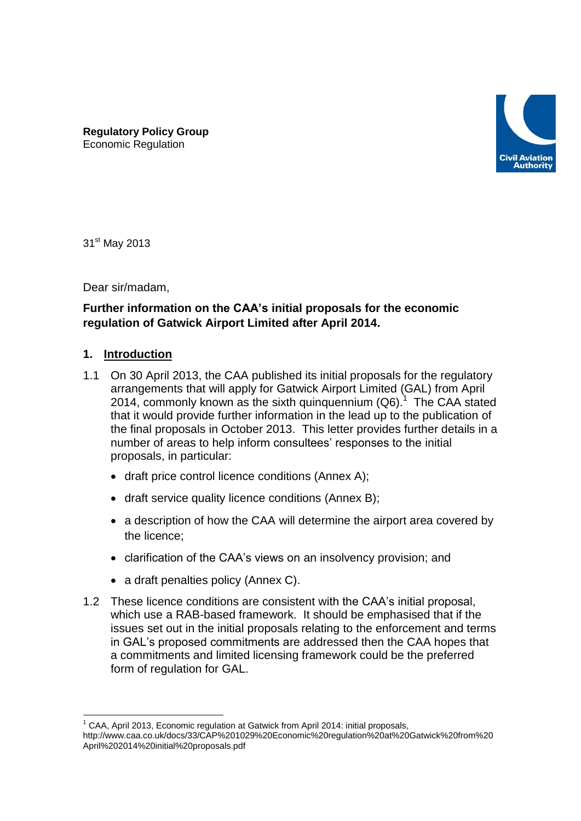

**Regulatory Policy Group** Economic Regulation

31<sup>st</sup> May 2013

Dear sir/madam,

# **Further information on the CAA's initial proposals for the economic regulation of Gatwick Airport Limited after April 2014.**

#### **1. Introduction**

1

- 1.1 On 30 April 2013, the CAA published its initial proposals for the regulatory arrangements that will apply for Gatwick Airport Limited (GAL) from April 2014, commonly known as the sixth quinquennium  $(Q6)$ .<sup>1</sup> The CAA stated that it would provide further information in the lead up to the publication of the final proposals in October 2013. This letter provides further details in a number of areas to help inform consultees' responses to the initial proposals, in particular:
	- draft price control licence conditions (Annex A);
	- draft service quality licence conditions (Annex B);
	- a description of how the CAA will determine the airport area covered by the licence;
	- clarification of the CAA's views on an insolvency provision; and
	- a draft penalties policy (Annex C).
- 1.2 These licence conditions are consistent with the CAA's initial proposal, which use a RAB-based framework. It should be emphasised that if the issues set out in the initial proposals relating to the enforcement and terms in GAL's proposed commitments are addressed then the CAA hopes that a commitments and limited licensing framework could be the preferred form of regulation for GAL.

 $1$  CAA, April 2013, Economic regulation at Gatwick from April 2014: initial proposals, http://www.caa.co.uk/docs/33/CAP%201029%20Economic%20regulation%20at%20Gatwick%20from%20 April%202014%20initial%20proposals.pdf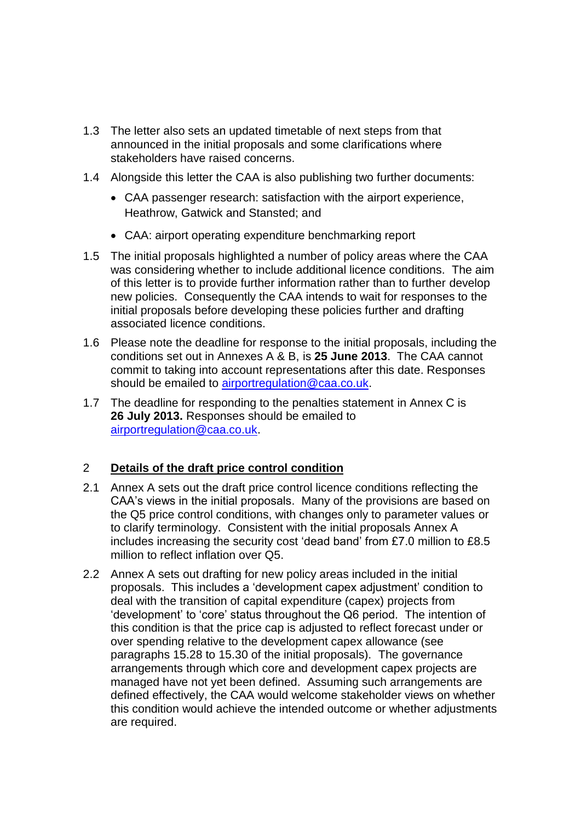- 1.3 The letter also sets an updated timetable of next steps from that announced in the initial proposals and some clarifications where stakeholders have raised concerns.
- 1.4 Alongside this letter the CAA is also publishing two further documents:
	- CAA passenger research: satisfaction with the airport experience, Heathrow, Gatwick and Stansted; and
	- CAA: airport operating expenditure benchmarking report
- 1.5 The initial proposals highlighted a number of policy areas where the CAA was considering whether to include additional licence conditions. The aim of this letter is to provide further information rather than to further develop new policies. Consequently the CAA intends to wait for responses to the initial proposals before developing these policies further and drafting associated licence conditions.
- 1.6 Please note the deadline for response to the initial proposals, including the conditions set out in Annexes A & B, is **25 June 2013**. The CAA cannot commit to taking into account representations after this date. Responses should be emailed to [airportregulation@caa.co.uk.](mailto:airportregulation@caa.co.uk)
- 1.7 The deadline for responding to the penalties statement in Annex C is **26 July 2013.** Responses should be emailed to [airportregulation@caa.co.uk.](mailto:airportregulation@caa.co.uk)

# 2 **Details of the draft price control condition**

- 2.1 Annex A sets out the draft price control licence conditions reflecting the CAA's views in the initial proposals. Many of the provisions are based on the Q5 price control conditions, with changes only to parameter values or to clarify terminology. Consistent with the initial proposals Annex A includes increasing the security cost 'dead band' from £7.0 million to £8.5 million to reflect inflation over Q5.
- 2.2 Annex A sets out drafting for new policy areas included in the initial proposals. This includes a 'development capex adjustment' condition to deal with the transition of capital expenditure (capex) projects from 'development' to 'core' status throughout the Q6 period. The intention of this condition is that the price cap is adjusted to reflect forecast under or over spending relative to the development capex allowance (see paragraphs 15.28 to 15.30 of the initial proposals). The governance arrangements through which core and development capex projects are managed have not yet been defined. Assuming such arrangements are defined effectively, the CAA would welcome stakeholder views on whether this condition would achieve the intended outcome or whether adjustments are required.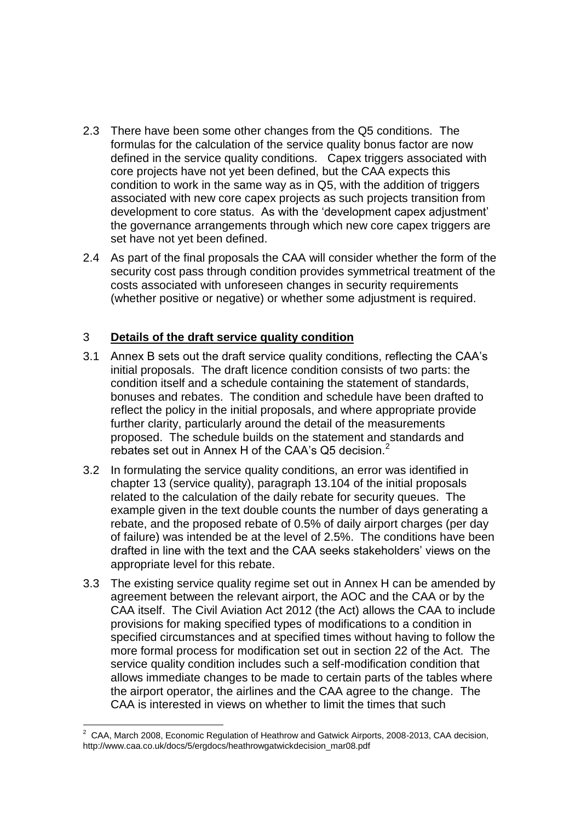- 2.3 There have been some other changes from the Q5 conditions. The formulas for the calculation of the service quality bonus factor are now defined in the service quality conditions. Capex triggers associated with core projects have not yet been defined, but the CAA expects this condition to work in the same way as in Q5, with the addition of triggers associated with new core capex projects as such projects transition from development to core status. As with the 'development capex adjustment' the governance arrangements through which new core capex triggers are set have not yet been defined.
- 2.4 As part of the final proposals the CAA will consider whether the form of the security cost pass through condition provides symmetrical treatment of the costs associated with unforeseen changes in security requirements (whether positive or negative) or whether some adjustment is required.

### 3 **Details of the draft service quality condition**

- 3.1 Annex B sets out the draft service quality conditions, reflecting the CAA's initial proposals. The draft licence condition consists of two parts: the condition itself and a schedule containing the statement of standards, bonuses and rebates. The condition and schedule have been drafted to reflect the policy in the initial proposals, and where appropriate provide further clarity, particularly around the detail of the measurements proposed. The schedule builds on the statement and standards and rebates set out in Annex H of the CAA's Q5 decision.<sup>2</sup>
- 3.2 In formulating the service quality conditions, an error was identified in chapter 13 (service quality), paragraph 13.104 of the initial proposals related to the calculation of the daily rebate for security queues. The example given in the text double counts the number of days generating a rebate, and the proposed rebate of 0.5% of daily airport charges (per day of failure) was intended be at the level of 2.5%. The conditions have been drafted in line with the text and the CAA seeks stakeholders' views on the appropriate level for this rebate.
- 3.3 The existing service quality regime set out in Annex H can be amended by agreement between the relevant airport, the AOC and the CAA or by the CAA itself. The Civil Aviation Act 2012 (the Act) allows the CAA to include provisions for making specified types of modifications to a condition in specified circumstances and at specified times without having to follow the more formal process for modification set out in section 22 of the Act. The service quality condition includes such a self-modification condition that allows immediate changes to be made to certain parts of the tables where the airport operator, the airlines and the CAA agree to the change. The CAA is interested in views on whether to limit the times that such

<sup>1</sup>  $2^2$  CAA, March 2008, Economic Regulation of Heathrow and Gatwick Airports, 2008-2013, CAA decision, http://www.caa.co.uk/docs/5/ergdocs/heathrowgatwickdecision\_mar08.pdf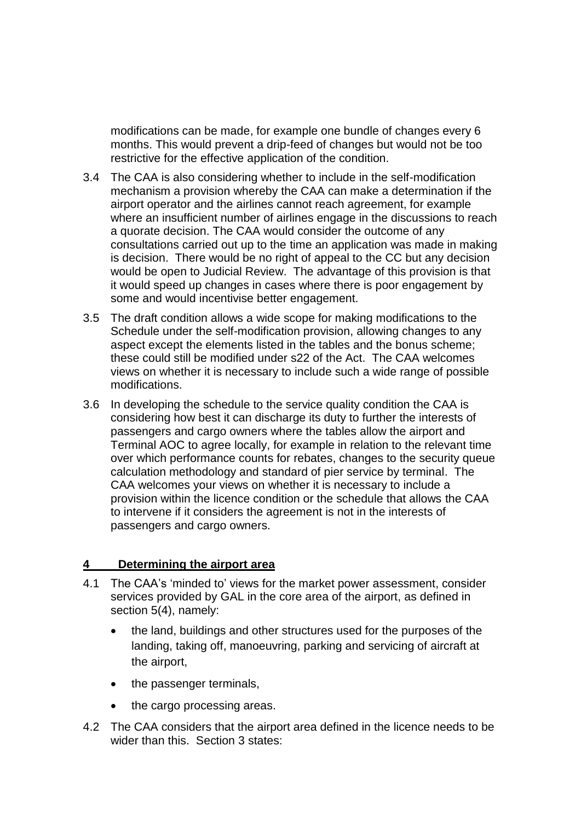modifications can be made, for example one bundle of changes every 6 months. This would prevent a drip-feed of changes but would not be too restrictive for the effective application of the condition.

- 3.4 The CAA is also considering whether to include in the self-modification mechanism a provision whereby the CAA can make a determination if the airport operator and the airlines cannot reach agreement, for example where an insufficient number of airlines engage in the discussions to reach a quorate decision. The CAA would consider the outcome of any consultations carried out up to the time an application was made in making is decision. There would be no right of appeal to the CC but any decision would be open to Judicial Review. The advantage of this provision is that it would speed up changes in cases where there is poor engagement by some and would incentivise better engagement.
- 3.5 The draft condition allows a wide scope for making modifications to the Schedule under the self-modification provision, allowing changes to any aspect except the elements listed in the tables and the bonus scheme; these could still be modified under s22 of the Act. The CAA welcomes views on whether it is necessary to include such a wide range of possible modifications.
- 3.6 In developing the schedule to the service quality condition the CAA is considering how best it can discharge its duty to further the interests of passengers and cargo owners where the tables allow the airport and Terminal AOC to agree locally, for example in relation to the relevant time over which performance counts for rebates, changes to the security queue calculation methodology and standard of pier service by terminal. The CAA welcomes your views on whether it is necessary to include a provision within the licence condition or the schedule that allows the CAA to intervene if it considers the agreement is not in the interests of passengers and cargo owners.

#### **4 Determining the airport area**

- 4.1 The CAA's 'minded to' views for the market power assessment, consider services provided by GAL in the core area of the airport, as defined in section 5(4), namely:
	- the land, buildings and other structures used for the purposes of the landing, taking off, manoeuvring, parking and servicing of aircraft at the airport,
	- the passenger terminals,
	- the cargo processing areas.
- 4.2 The CAA considers that the airport area defined in the licence needs to be wider than this. Section 3 states: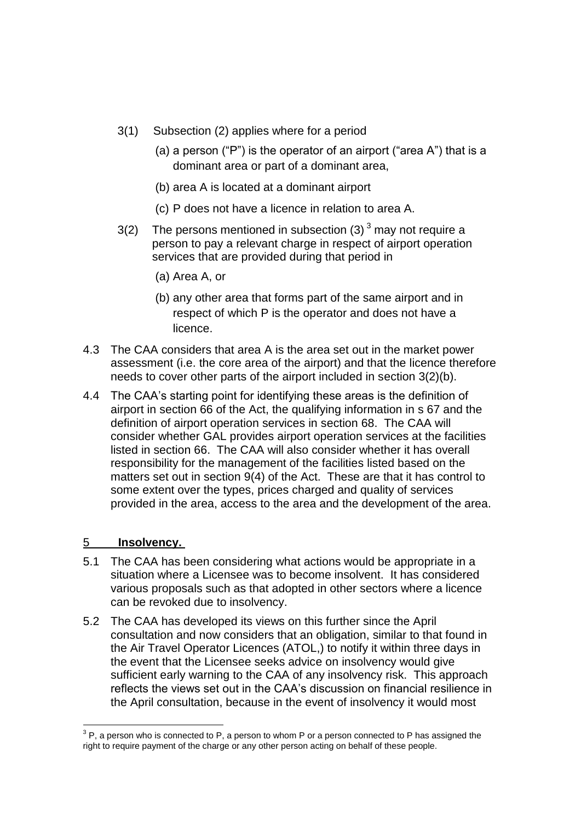- 3(1) Subsection (2) applies where for a period
	- (a) a person ("P") is the operator of an airport ("area A") that is a dominant area or part of a dominant area,
	- (b) area A is located at a dominant airport
	- (c) P does not have a licence in relation to area A.
- 3(2) The persons mentioned in subsection (3)  $3 \text{ may not require a}$ person to pay a relevant charge in respect of airport operation services that are provided during that period in
	- (a) Area A, or
	- (b) any other area that forms part of the same airport and in respect of which P is the operator and does not have a licence.
- 4.3 The CAA considers that area A is the area set out in the market power assessment (i.e. the core area of the airport) and that the licence therefore needs to cover other parts of the airport included in section 3(2)(b).
- 4.4 The CAA's starting point for identifying these areas is the definition of airport in section 66 of the Act, the qualifying information in s 67 and the definition of airport operation services in section 68. The CAA will consider whether GAL provides airport operation services at the facilities listed in section 66. The CAA will also consider whether it has overall responsibility for the management of the facilities listed based on the matters set out in section 9(4) of the Act. These are that it has control to some extent over the types, prices charged and quality of services provided in the area, access to the area and the development of the area.

#### 5 **Insolvency.**

1

- 5.1 The CAA has been considering what actions would be appropriate in a situation where a Licensee was to become insolvent. It has considered various proposals such as that adopted in other sectors where a licence can be revoked due to insolvency.
- 5.2 The CAA has developed its views on this further since the April consultation and now considers that an obligation, similar to that found in the Air Travel Operator Licences (ATOL,) to notify it within three days in the event that the Licensee seeks advice on insolvency would give sufficient early warning to the CAA of any insolvency risk. This approach reflects the views set out in the CAA's discussion on financial resilience in the April consultation, because in the event of insolvency it would most

 $3$  P, a person who is connected to P, a person to whom P or a person connected to P has assigned the right to require payment of the charge or any other person acting on behalf of these people.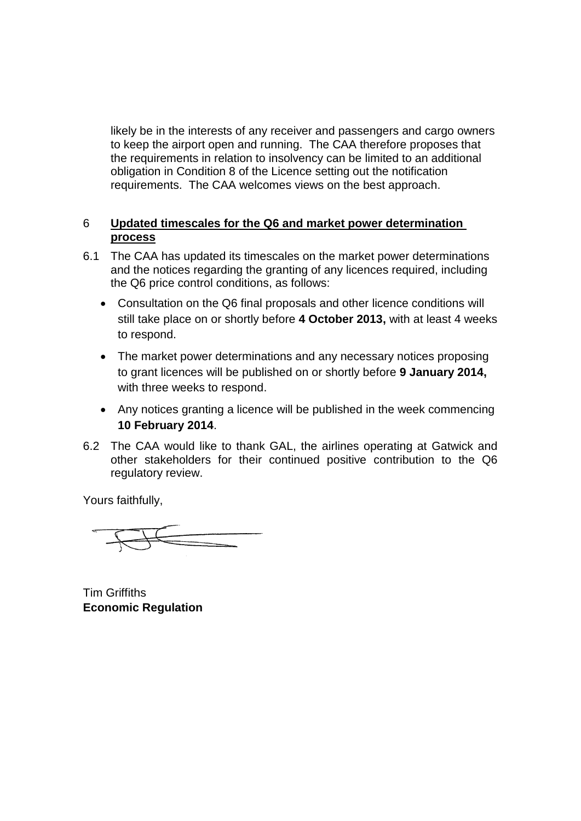likely be in the interests of any receiver and passengers and cargo owners to keep the airport open and running. The CAA therefore proposes that the requirements in relation to insolvency can be limited to an additional obligation in Condition 8 of the Licence setting out the notification requirements. The CAA welcomes views on the best approach.

### 6 **Updated timescales for the Q6 and market power determination process**

- 6.1 The CAA has updated its timescales on the market power determinations and the notices regarding the granting of any licences required, including the Q6 price control conditions, as follows:
	- Consultation on the Q6 final proposals and other licence conditions will still take place on or shortly before **4 October 2013,** with at least 4 weeks to respond.
	- The market power determinations and any necessary notices proposing to grant licences will be published on or shortly before **9 January 2014,**  with three weeks to respond.
	- Any notices granting a licence will be published in the week commencing **10 February 2014**.
- 6.2 The CAA would like to thank GAL, the airlines operating at Gatwick and other stakeholders for their continued positive contribution to the Q6 regulatory review.

Yours faithfully,

Tim Griffiths **Economic Regulation**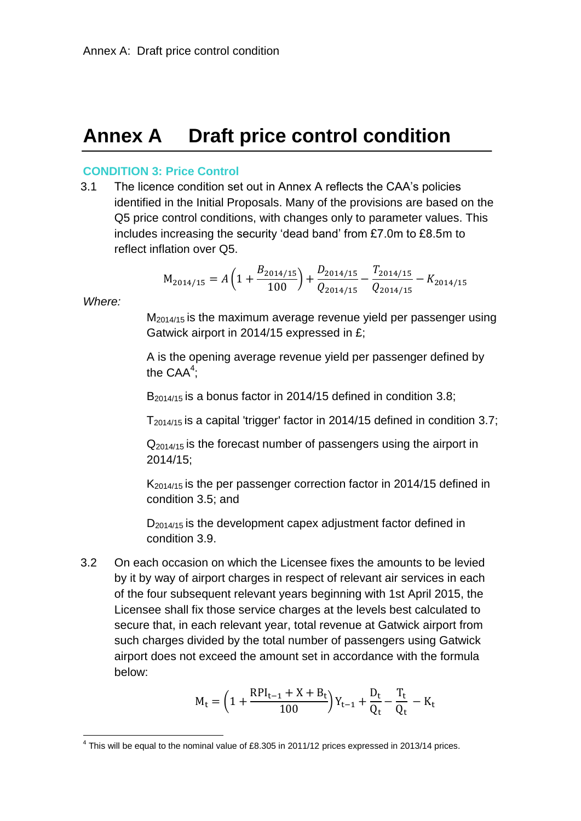# **Annex A Draft price control condition**

#### **CONDITION 3: Price Control**

3.1 The licence condition set out in Annex A reflects the CAA's policies identified in the Initial Proposals. Many of the provisions are based on the Q5 price control conditions, with changes only to parameter values. This includes increasing the security 'dead band' from £7.0m to £8.5m to reflect inflation over Q5.

$$
M_{2014/15} = A \left( 1 + \frac{B_{2014/15}}{100} \right) + \frac{D_{2014/15}}{Q_{2014/15}} - \frac{T_{2014/15}}{Q_{2014/15}} - K_{2014/15}
$$

*Where:*

1

M2014/15 is the maximum average revenue yield per passenger using Gatwick airport in 2014/15 expressed in £;

A is the opening average revenue yield per passenger defined by the  $\mathsf{CAA}^4$ ;

B<sub>2014/15</sub> is a bonus factor in 2014/15 defined in condition [3.8;](#page-11-0)

T2014/15 is a capital 'trigger' factor in 2014/15 defined in condition [3.7;](#page-10-0)

 $Q_{2014/15}$  is the forecast number of passengers using the airport in 2014/15;

 $K_{2014/15}$  is the per passenger correction factor in 2014/15 defined in condition [3.5;](#page-9-0) and

 $D_{2014/15}$  is the development capex adjustment factor defined in condition [3.9.](#page-11-1)

3.2 On each occasion on which the Licensee fixes the amounts to be levied by it by way of airport charges in respect of relevant air services in each of the four subsequent relevant years beginning with 1st April 2015, the Licensee shall fix those service charges at the levels best calculated to secure that, in each relevant year, total revenue at Gatwick airport from such charges divided by the total number of passengers using Gatwick airport does not exceed the amount set in accordance with the formula below:

$$
M_t = \Big(1 + \frac{RPI_{t-1} + X + B_t}{100}\Big)Y_{t-1} + \frac{D_t}{Q_t} - \frac{T_t}{Q_t} - K_t
$$

 $<sup>4</sup>$  This will be equal to the nominal value of £8.305 in 2011/12 prices expressed in 2013/14 prices.</sup>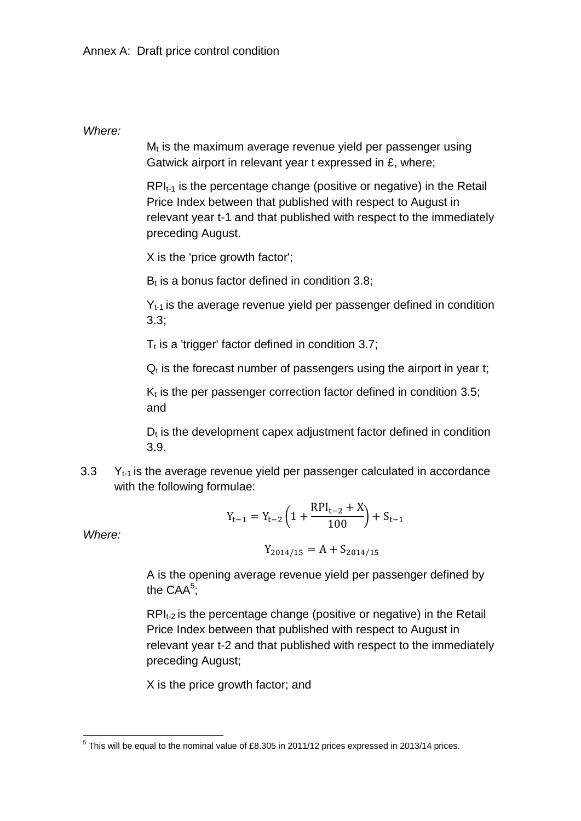### *Where:*

 $M_t$  is the maximum average revenue vield per passenger using Gatwick airport in relevant year t expressed in £, where;

 $RPI_{t-1}$  is the percentage change (positive or negative) in the Retail Price Index between that published with respect to August in relevant year t-1 and that published with respect to the immediately preceding August.

X is the 'price growth factor';

 $B_t$  is a bonus factor defined in condition [3.8;](#page-11-0)

Y<sub>t-1</sub> is the average revenue vield per passenger defined in condition [3.3;](#page-7-0)

 $T_t$  is a 'trigger' factor defined in condition [3.7;](#page-10-0)

 $Q<sub>t</sub>$  is the forecast number of passengers using the airport in year t;

 $K_t$  is the per passenger correction factor defined in condition [3.5;](#page-9-0) and

 $D_t$  is the development capex adjustment factor defined in condition [3.9.](#page-11-1)

<span id="page-7-0"></span>3.3  $Y_{t-1}$  is the average revenue yield per passenger calculated in accordance with the following formulae:

$$
Y_{t-1} = Y_{t-2} \left( 1 + \frac{RPI_{t-2} + X}{100} \right) + S_{t-1}
$$

*Where:*

$$
Y_{2014/15} = A + S_{2014/15}
$$

A is the opening average revenue yield per passenger defined by the  $\mathsf{CAA}^5$ ;

 $RPI_{t-2}$  is the percentage change (positive or negative) in the Retail Price Index between that published with respect to August in relevant year t-2 and that published with respect to the immediately preceding August;

X is the price growth factor; and

 5 This will be equal to the nominal value of £8.305 in 2011/12 prices expressed in 2013/14 prices.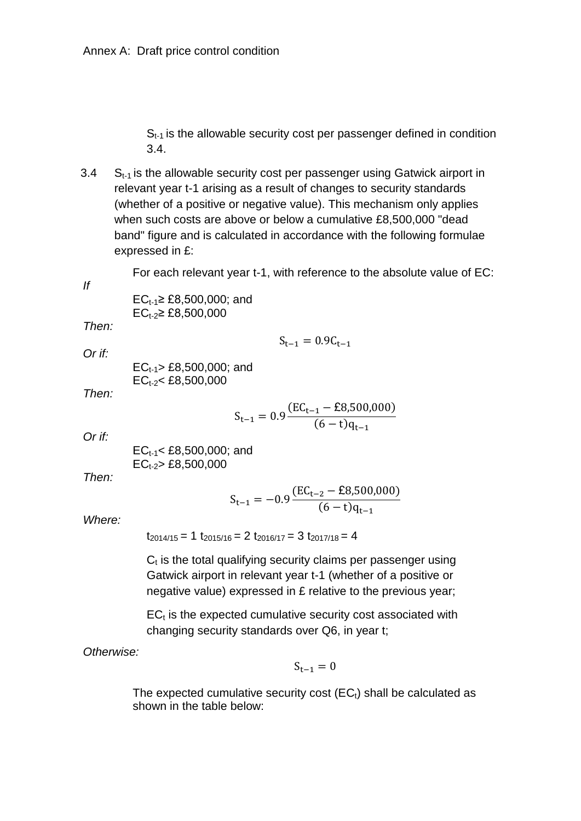$S<sub>t-1</sub>$  is the allowable security cost per passenger defined in condition [3.4.](#page-8-0)

<span id="page-8-0"></span>3.4  $S_{t-1}$  is the allowable security cost per passenger using Gatwick airport in relevant year t-1 arising as a result of changes to security standards (whether of a positive or negative value). This mechanism only applies when such costs are above or below a cumulative £8,500,000 "dead band" figure and is calculated in accordance with the following formulae expressed in £:

For each relevant year t-1, with reference to the absolute value of EC:

 $S_{t-1} = 0.9C_{t-1}$ 

 $EC_{t-1} \geq £8,500,000$ ; and  $EC_{t-2} \geq £8,500,000$ 

*Then:*

*If* 

*Or if:*

 $EC_{t-1}$  £8,500,000; and  $EC_{t-2}$   $\leq$  £8,500,000

*Then:*

$$
S_{t-1} = 0.9 \frac{(EC_{t-1} - \text{\pounds}8,500,000)}{(6-t)q_{t-1}}
$$

*Or if:*

$$
EC_{t-1} < £8,500,000; \text{ and } EC_{t-2} > £8,500,000
$$

*Then:*

$$
S_{t-1} = -0.9 \frac{(EC_{t-2} - \text{\pounds}8,500,000)}{(6-t)q_{t-1}}
$$

*Where:*

 $t_{2014/15} = 1 t_{2015/16} = 2 t_{2016/17} = 3 t_{2017/18} = 4$ 

 $C<sub>t</sub>$  is the total qualifying security claims per passenger using Gatwick airport in relevant year t-1 (whether of a positive or negative value) expressed in £ relative to the previous year;

 $EC<sub>t</sub>$  is the expected cumulative security cost associated with changing security standards over Q6, in year t;

*Otherwise:*

$$
S_{t-1}=0
$$

The expected cumulative security cost  $(EC_i)$  shall be calculated as shown in the table below: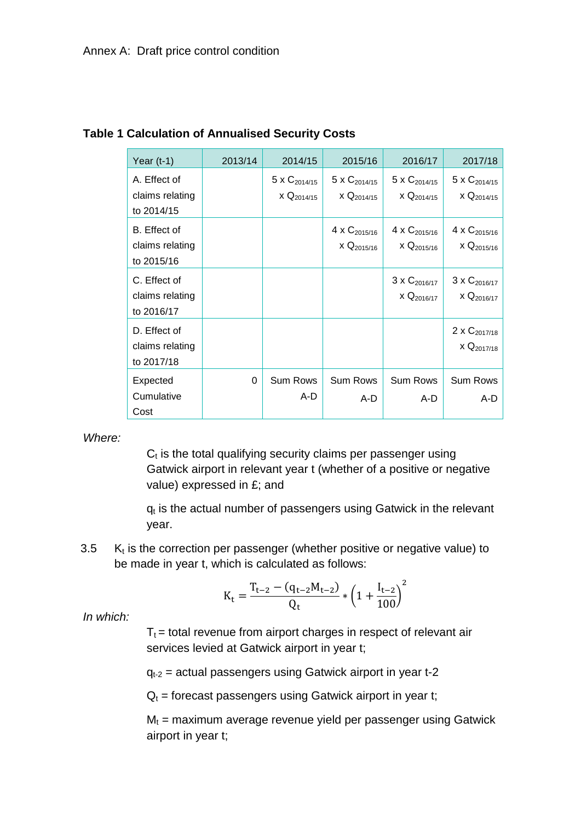| Year $(t-1)$                                  | 2013/14 | 2014/15                              | 2015/16                                            | 2016/17                                            | 2017/18                                                   |
|-----------------------------------------------|---------|--------------------------------------|----------------------------------------------------|----------------------------------------------------|-----------------------------------------------------------|
| A. Effect of<br>claims relating<br>to 2014/15 |         | 5 x $C_{2014/15}$<br>$x Q_{2014/15}$ | 5 x $C_{2014/15}$<br>$\times$ Q <sub>2014/15</sub> | 5 x $C_{2014/15}$<br>$\times$ Q <sub>2014/15</sub> | 5 x $C_{2014/15}$<br>$\times$ Q <sub>2014/15</sub>        |
| B. Effect of<br>claims relating<br>to 2015/16 |         |                                      | 4 x $C_{2015/16}$<br>$\times$ Q <sub>2015/16</sub> | 4 x $C_{2015/16}$<br>$\times$ Q <sub>2015/16</sub> | 4 x C <sub>2015/16</sub><br>$\times$ Q <sub>2015/16</sub> |
| C. Effect of<br>claims relating<br>to 2016/17 |         |                                      |                                                    | $3 \times C_{2016/17}$<br>$X \mathbf{Q}_{2016/17}$ | $3 \times C_{2016/17}$<br>$X \mathbf{Q}_{2016/17}$        |
| D. Effect of<br>claims relating<br>to 2017/18 |         |                                      |                                                    |                                                    | 2 x C <sub>2017/18</sub><br>$x Q_{2017/18}$               |
| Expected<br>Cumulative<br>Cost                | 0       | <b>Sum Rows</b><br>A-D               | <b>Sum Rows</b><br>A-D                             | <b>Sum Rows</b><br>A-D                             | <b>Sum Rows</b><br>A-D                                    |

### **Table 1 Calculation of Annualised Security Costs**

*Where:*

 $C<sub>t</sub>$  is the total qualifying security claims per passenger using Gatwick airport in relevant year t (whether of a positive or negative value) expressed in £; and

 $q_t$  is the actual number of passengers using Gatwick in the relevant year.

<span id="page-9-0"></span> $3.5$  $K_t$  is the correction per passenger (whether positive or negative value) to be made in year t, which is calculated as follows:

$$
K_t = \frac{T_{t-2} - (q_{t-2}M_{t-2})}{Q_t} * \left(1 + \frac{I_{t-2}}{100}\right)^2
$$

*In which:*

 $T_t$  = total revenue from airport charges in respect of relevant air services levied at Gatwick airport in year t;

 $q_{t-2}$  = actual passengers using Gatwick airport in year  $t-2$ 

 $Q_t$  = forecast passengers using Gatwick airport in year t;

 $M_t$  = maximum average revenue yield per passenger using Gatwick airport in year t;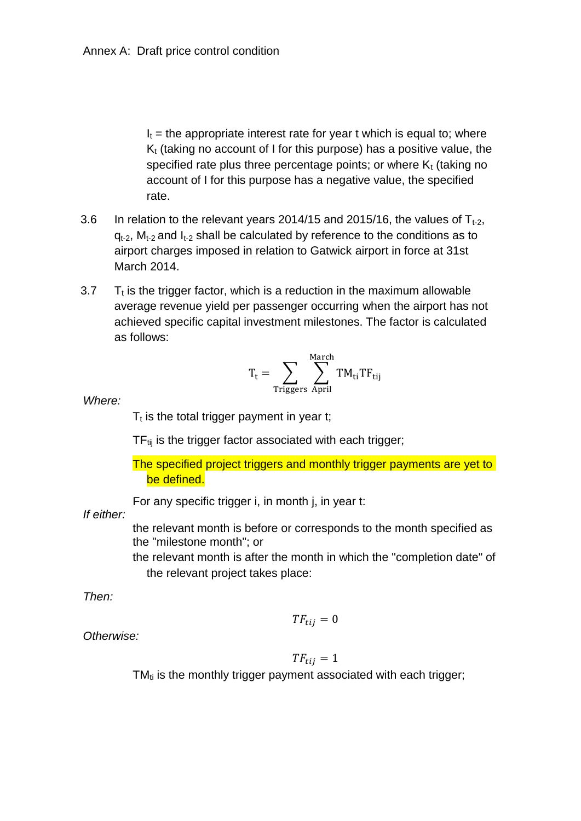$I_t$  = the appropriate interest rate for year t which is equal to; where  $K<sub>t</sub>$  (taking no account of I for this purpose) has a positive value, the specified rate plus three percentage points; or where  $K_t$  (taking no account of I for this purpose has a negative value, the specified rate.

- 3.6 In relation to the relevant years 2014/15 and 2015/16, the values of  $T_{t-2}$ ,  $q_{t-2}$ ,  $M_{t-2}$  and  $I_{t-2}$  shall be calculated by reference to the conditions as to airport charges imposed in relation to Gatwick airport in force at 31st March 2014.
- <span id="page-10-0"></span> $3.7$  $T<sub>t</sub>$  is the trigger factor, which is a reduction in the maximum allowable average revenue yield per passenger occurring when the airport has not achieved specific capital investment milestones. The factor is calculated as follows:

$$
T_t = \sum_{Triggers} \sum_{April}^{March} TM_{ti} TF_{tij}
$$

*Where:*

 $T_t$  is the total trigger payment in year t;

 $TF_{tii}$  is the trigger factor associated with each trigger;

The specified project triggers and monthly trigger payments are yet to be defined.

For any specific trigger i, in month j, in year t:

*If either:*

the relevant month is before or corresponds to the month specified as the "milestone month"; or

the relevant month is after the month in which the "completion date" of the relevant project takes place:

*Then:*

 $TF_{tij}=0$ 

*Otherwise:*

$$
TF_{tij}=1
$$

 $TM_{ti}$  is the monthly trigger payment associated with each trigger;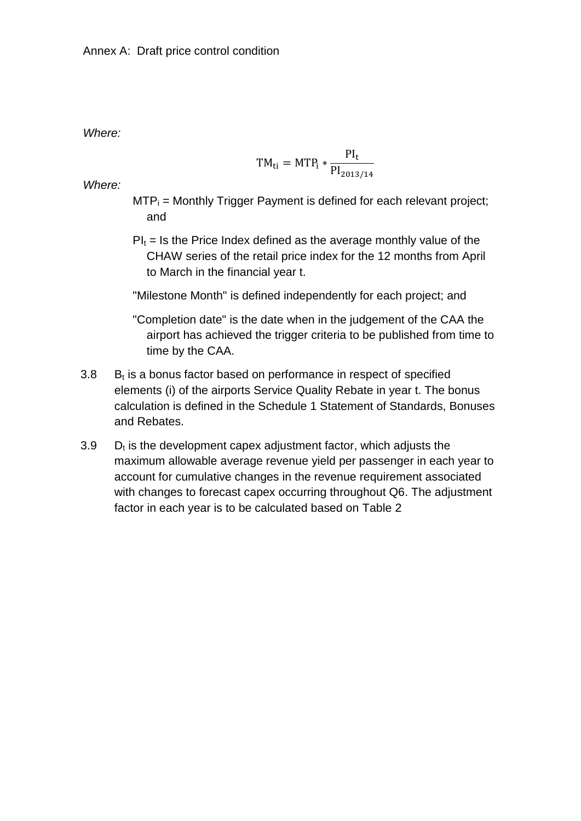*Where:*

$$
TM_{ti} = MTP_i * \frac{PI_t}{PI_{2013/14}}
$$

*Where:*

- $MTP_i$  = Monthly Trigger Payment is defined for each relevant project; and
- $PI_t = Is$  the Price Index defined as the average monthly value of the CHAW series of the retail price index for the 12 months from April to March in the financial year t.

"Milestone Month" is defined independently for each project; and

- "Completion date" is the date when in the judgement of the CAA the airport has achieved the trigger criteria to be published from time to time by the CAA.
- <span id="page-11-0"></span> $3.8$  $B<sub>t</sub>$  is a bonus factor based on performance in respect of specified elements (i) of the airports Service Quality Rebate in year t. The bonus calculation is defined in the Schedule 1 Statement of Standards, Bonuses and Rebates.
- <span id="page-11-1"></span> $3.9$  $D<sub>t</sub>$  is the development capex adjustment factor, which adjusts the maximum allowable average revenue yield per passenger in each year to account for cumulative changes in the revenue requirement associated with changes to forecast capex occurring throughout Q6. The adjustment factor in each year is to be calculated based on [Table 2](#page-12-0)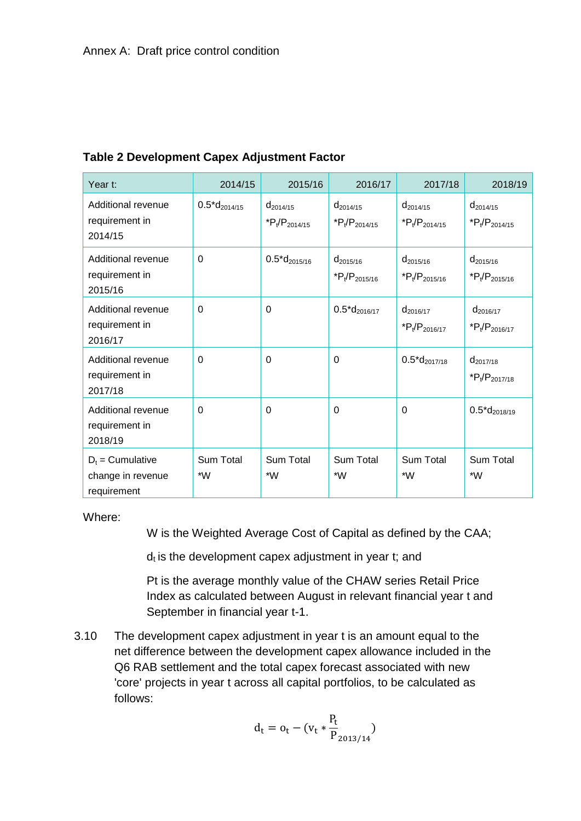| Year t:                                                | 2014/15             | 2015/16                            | 2016/17                             | 2017/18                                   | 2018/19                            |
|--------------------------------------------------------|---------------------|------------------------------------|-------------------------------------|-------------------------------------------|------------------------------------|
| Additional revenue<br>requirement in<br>2014/15        | $0.5 * d_{2014/15}$ | $d_{2014/15}$<br>$P_t/P_{2014/15}$ | $d_{2014/15}$<br>$P_t/P_{2014/15}$  | $d_{2014/15}$<br>$P_t/P_{2014/15}$        | $d_{2014/15}$<br>$P_t/P_{2014/15}$ |
| Additional revenue<br>requirement in<br>2015/16        | $\Omega$            | $0.5 * d_{2015/16}$                | $d_{2015/16}$<br>$*P_t/P_{2015/16}$ | $d_{2015/16}$<br>$*P_t/P_{2015/16}$       | $d_{2015/16}$<br>$P_t/P_{2015/16}$ |
| Additional revenue<br>requirement in<br>2016/17        | $\Omega$            | $\Omega$                           | $0.5 * d_{2016/17}$                 | d <sub>2016/17</sub><br>$P_t/P_{2016/17}$ | $d_{2016/17}$<br>$P_t/P_{2016/17}$ |
| Additional revenue<br>requirement in<br>2017/18        | $\Omega$            | $\Omega$                           | $\Omega$                            | $0.5 * d_{2017/18}$                       | $d_{2017/18}$<br>$P_t/P_{2017/18}$ |
| Additional revenue<br>requirement in<br>2018/19        | $\Omega$            | $\Omega$                           | 0                                   | $\mathbf{0}$                              | $0.5^{\ast}d_{2018/19}$            |
| $D_t =$ Cumulative<br>change in revenue<br>requirement | Sum Total<br>$*W$   | <b>Sum Total</b><br>$*W$           | Sum Total<br>*W                     | Sum Total<br>*W                           | Sum Total<br>$*W$                  |

### <span id="page-12-0"></span>**Table 2 Development Capex Adjustment Factor**

Where:

W is the Weighted Average Cost of Capital as defined by the CAA;

 $d_t$  is the development capex adjustment in year t; and

Pt is the average monthly value of the CHAW series Retail Price Index as calculated between August in relevant financial year t and September in financial year t-1.

3.10 The development capex adjustment in year t is an amount equal to the net difference between the development capex allowance included in the Q6 RAB settlement and the total capex forecast associated with new 'core' projects in year t across all capital portfolios, to be calculated as follows:

$$
d_t = o_t - (v_t * \frac{P_t}{P_{2013/14}})
$$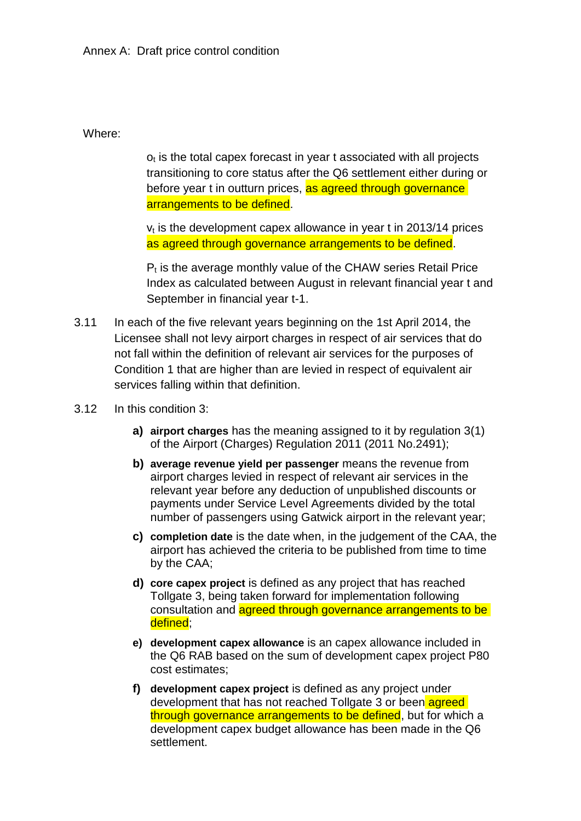Where:

 $o<sub>t</sub>$  is the total capex forecast in year t associated with all projects transitioning to core status after the Q6 settlement either during or before year t in outturn prices, as agreed through governance arrangements to be defined.

 $v_t$  is the development capex allowance in year t in 2013/14 prices as agreed through governance arrangements to be defined.

 $P<sub>t</sub>$  is the average monthly value of the CHAW series Retail Price Index as calculated between August in relevant financial year t and September in financial year t-1.

- 3.11 In each of the five relevant years beginning on the 1st April 2014, the Licensee shall not levy airport charges in respect of air services that do not fall within the definition of relevant air services for the purposes of Condition 1 that are higher than are levied in respect of equivalent air services falling within that definition.
- 3.12 In this condition 3:
	- **a) airport charges** has the meaning assigned to it by regulation 3(1) of the Airport (Charges) Regulation 2011 (2011 No.2491);
	- **b) average revenue yield per passenger** means the revenue from airport charges levied in respect of relevant air services in the relevant year before any deduction of unpublished discounts or payments under Service Level Agreements divided by the total number of passengers using Gatwick airport in the relevant year;
	- **c) completion date** is the date when, in the judgement of the CAA, the airport has achieved the criteria to be published from time to time by the CAA;
	- **d) core capex project** is defined as any project that has reached Tollgate 3, being taken forward for implementation following consultation and agreed through governance arrangements to be defined;
	- **e) development capex allowance** is an capex allowance included in the Q6 RAB based on the sum of development capex project P80 cost estimates;
	- **f) development capex project** is defined as any project under development that has not reached Tollgate 3 or been agreed through governance arrangements to be defined, but for which a development capex budget allowance has been made in the Q6 settlement.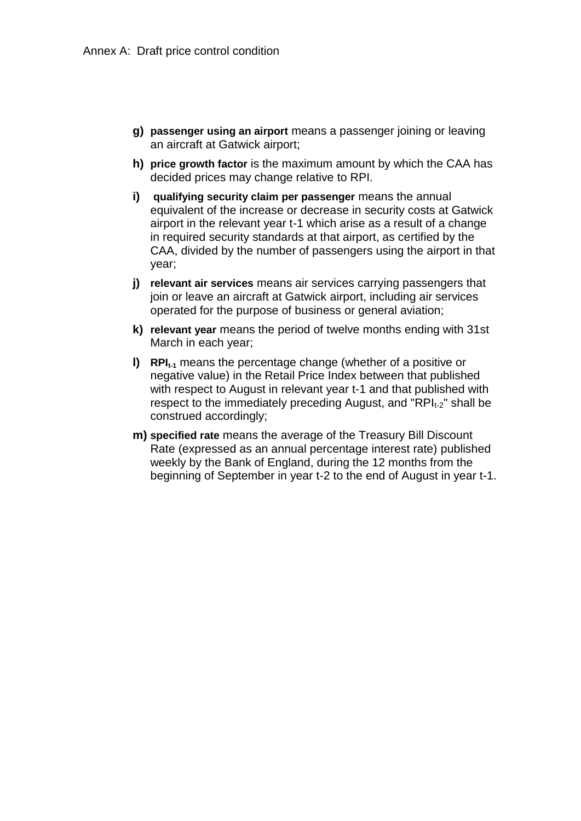- **g) passenger using an airport** means a passenger joining or leaving an aircraft at Gatwick airport;
- **h) price growth factor** is the maximum amount by which the CAA has decided prices may change relative to RPI.
- **i) qualifying security claim per passenger** means the annual equivalent of the increase or decrease in security costs at Gatwick airport in the relevant year t-1 which arise as a result of a change in required security standards at that airport, as certified by the CAA, divided by the number of passengers using the airport in that year;
- **j) relevant air services** means air services carrying passengers that join or leave an aircraft at Gatwick airport, including air services operated for the purpose of business or general aviation;
- **k) relevant year** means the period of twelve months ending with 31st March in each year;
- **l) RPIt-1** means the percentage change (whether of a positive or negative value) in the Retail Price Index between that published with respect to August in relevant year t-1 and that published with respect to the immediately preceding August, and "RPI $_{12}$ " shall be construed accordingly;
- **m) specified rate** means the average of the Treasury Bill Discount Rate (expressed as an annual percentage interest rate) published weekly by the Bank of England, during the 12 months from the beginning of September in year t-2 to the end of August in year t-1.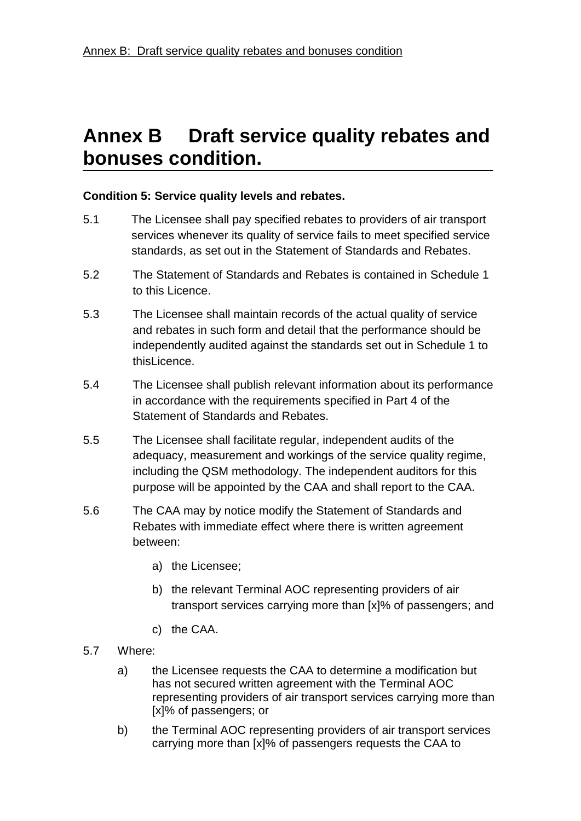### **Condition 5: Service quality levels and rebates.**

- 5.1 The Licensee shall pay specified rebates to providers of air transport services whenever its quality of service fails to meet specified service standards, as set out in the Statement of Standards and Rebates.
- 5.2 The Statement of Standards and Rebates is contained in Schedule 1 to this Licence.
- 5.3 The Licensee shall maintain records of the actual quality of service and rebates in such form and detail that the performance should be independently audited against the standards set out in Schedule 1 to thisLicence
- 5.4 The Licensee shall publish relevant information about its performance in accordance with the requirements specified in Part 4 of the Statement of Standards and Rebates.
- 5.5 The Licensee shall facilitate regular, independent audits of the adequacy, measurement and workings of the service quality regime, including the QSM methodology. The independent auditors for this purpose will be appointed by the CAA and shall report to the CAA.
- 5.6 The CAA may by notice modify the Statement of Standards and Rebates with immediate effect where there is written agreement between:
	- a) the Licensee;
	- b) the relevant Terminal AOC representing providers of air transport services carrying more than [x]% of passengers; and
	- c) the CAA.
- 5.7 Where:
	- a) the Licensee requests the CAA to determine a modification but has not secured written agreement with the Terminal AOC representing providers of air transport services carrying more than [x]% of passengers; or
	- b) the Terminal AOC representing providers of air transport services carrying more than [x]% of passengers requests the CAA to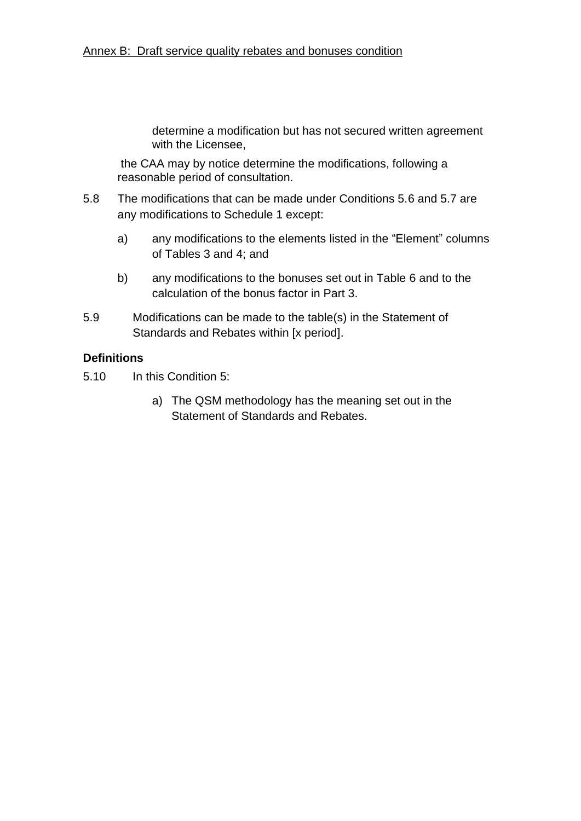determine a modification but has not secured written agreement with the Licensee,

the CAA may by notice determine the modifications, following a reasonable period of consultation.

- 5.8 The modifications that can be made under Conditions 5.6 and 5.7 are any modifications to Schedule 1 except:
	- a) any modifications to the elements listed in the "Element" columns of Tables 3 and 4; and
	- b) any modifications to the bonuses set out in Table 6 and to the calculation of the bonus factor in Part 3.
- 5.9 Modifications can be made to the table(s) in the Statement of Standards and Rebates within [x period].

### **Definitions**

5.10 In this Condition 5:

a) The QSM methodology has the meaning set out in the Statement of Standards and Rebates.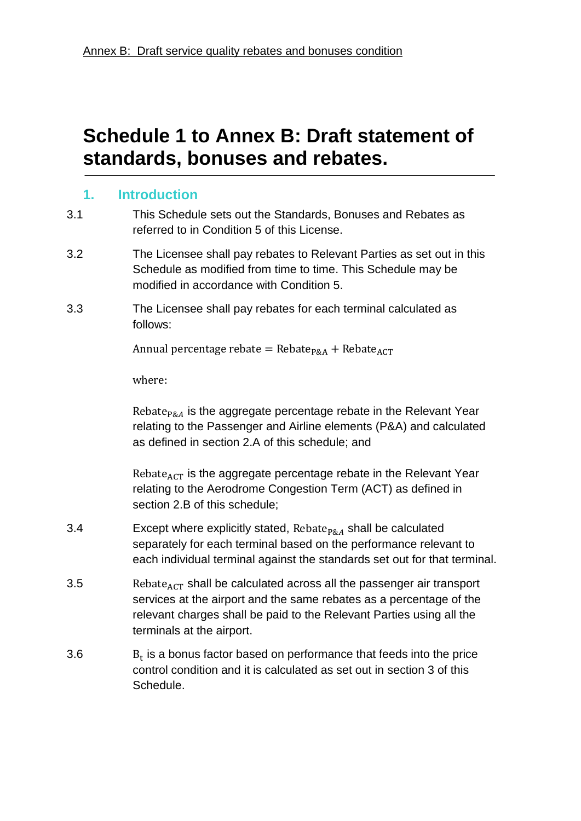# **Schedule 1 to Annex B: Draft statement of standards, bonuses and rebates.**

# **1. Introduction**

- 3.1 This Schedule sets out the Standards, Bonuses and Rebates as referred to in Condition 5 of this License.
- 3.2 The Licensee shall pay rebates to Relevant Parties as set out in this Schedule as modified from time to time. This Schedule may be modified in accordance with Condition 5.
- 3.3 The Licensee shall pay rebates for each terminal calculated as follows:

Annual percentage rebate = Rebate<sub>p&A</sub> + Rebate<sub>ACT</sub>

where:

Rebate<sub>P&A</sub> is the aggregate percentage rebate in the Relevant Year relating to the Passenger and Airline elements (P&A) and calculated as defined in section 2.A of this schedule; and

Rebate $_{ACT}$  is the aggregate percentage rebate in the Relevant Year relating to the Aerodrome Congestion Term (ACT) as defined in section 2.B of this schedule;

- 3.4 Except where explicitly stated,  $Rebate_{P\&A}$  shall be calculated separately for each terminal based on the performance relevant to each individual terminal against the standards set out for that terminal.
- 3.5 **Shall be calculated across all the passenger air transport** services at the airport and the same rebates as a percentage of the relevant charges shall be paid to the Relevant Parties using all the terminals at the airport.
- 3.6  $B_t$  is a bonus factor based on performance that feeds into the price control condition and it is calculated as set out in section 3 of this Schedule.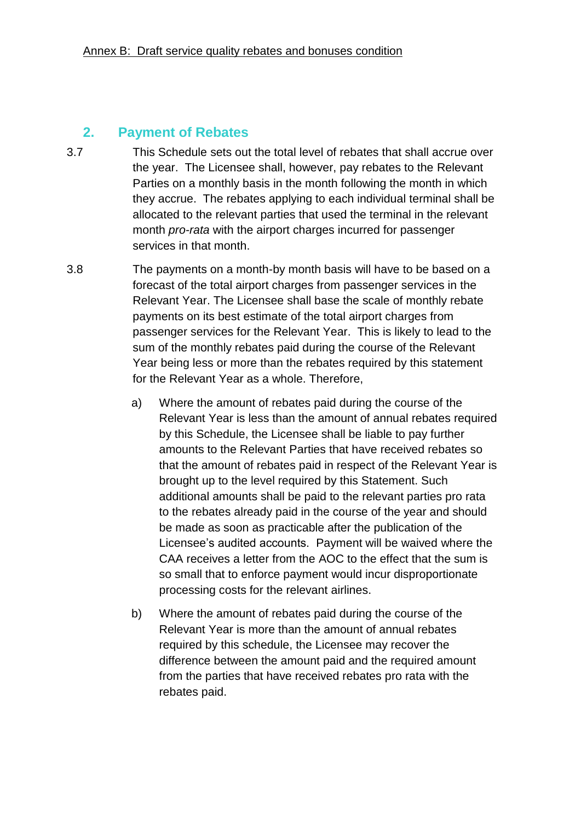# **2. Payment of Rebates**

- 3.7 This Schedule sets out the total level of rebates that shall accrue over the year. The Licensee shall, however, pay rebates to the Relevant Parties on a monthly basis in the month following the month in which they accrue. The rebates applying to each individual terminal shall be allocated to the relevant parties that used the terminal in the relevant month *pro-rata* with the airport charges incurred for passenger services in that month.
- 3.8 The payments on a month-by month basis will have to be based on a forecast of the total airport charges from passenger services in the Relevant Year. The Licensee shall base the scale of monthly rebate payments on its best estimate of the total airport charges from passenger services for the Relevant Year. This is likely to lead to the sum of the monthly rebates paid during the course of the Relevant Year being less or more than the rebates required by this statement for the Relevant Year as a whole. Therefore,
	- a) Where the amount of rebates paid during the course of the Relevant Year is less than the amount of annual rebates required by this Schedule, the Licensee shall be liable to pay further amounts to the Relevant Parties that have received rebates so that the amount of rebates paid in respect of the Relevant Year is brought up to the level required by this Statement. Such additional amounts shall be paid to the relevant parties pro rata to the rebates already paid in the course of the year and should be made as soon as practicable after the publication of the Licensee's audited accounts. Payment will be waived where the CAA receives a letter from the AOC to the effect that the sum is so small that to enforce payment would incur disproportionate processing costs for the relevant airlines.
	- b) Where the amount of rebates paid during the course of the Relevant Year is more than the amount of annual rebates required by this schedule, the Licensee may recover the difference between the amount paid and the required amount from the parties that have received rebates pro rata with the rebates paid.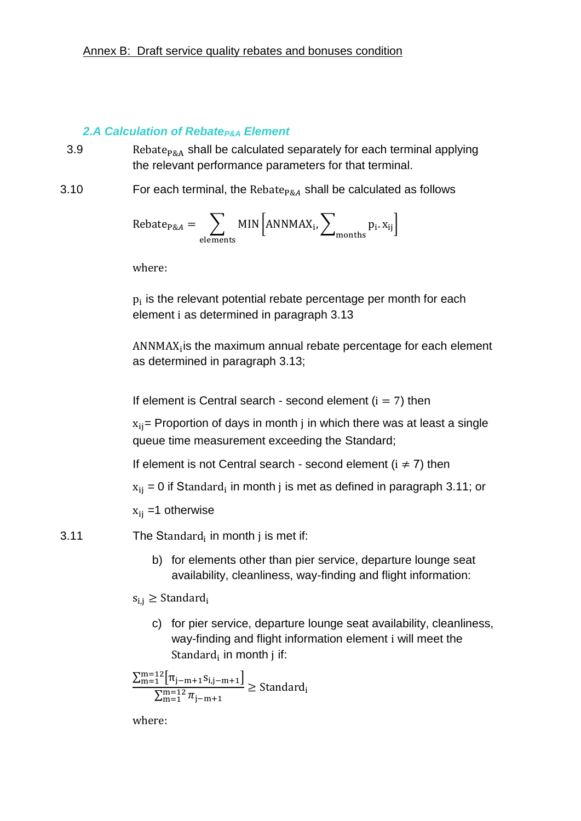# *2.A Calculation of RebateP&A Element*

- 3.9 **Shall be calculated separately for each terminal applying**  $\overline{a}$ the relevant performance parameters for that terminal.
- 3.10 For each terminal, the Rebate<sub>P&A</sub> shall be calculated as follows

$$
Rebate_{P\&A}=\sum_{elements} MIN\Bigl[ANNMAX_{i}, \sum_{months} p_{i}.x_{ij}\Bigr]
$$

where:

 $p_i$  is the relevant potential rebate percentage per month for each element i as determined in paragraph [3.13](#page-22-0)

 $ANNMAX_i$  is the maximum annual rebate percentage for each element as determined in paragraph [3.13;](#page-22-0)

If element is Central search - second element  $(i = 7)$  then

 $x_{ii}$  Proportion of days in month j in which there was at least a single queue time measurement exceeding the Standard;

If element is not Central search - second element  $(i \neq 7)$  then

 $x_{ii}$  = 0 if Standard, in month j is met as defined in paragraph [3.11;](#page-19-0) or

 $x_{ii}$  =1 otherwise

<span id="page-19-0"></span>3.11 The Standard, in month j is met if:

b) for elements other than pier service, departure lounge seat availability, cleanliness, way-finding and flight information:

 $s_{i,j} \geq$  Standard<sub>i</sub>

c) for pier service, departure lounge seat availability, cleanliness, way-finding and flight information element i will meet the Standard<sub>i</sub> in month j if:

$$
\frac{\sum_{m=1}^{m=12}[\pi_{j-m+1}s_{i,j-m+1}]}{\sum_{m=1}^{m=12}\pi_{j-m+1}}\geq Standard_i
$$

where: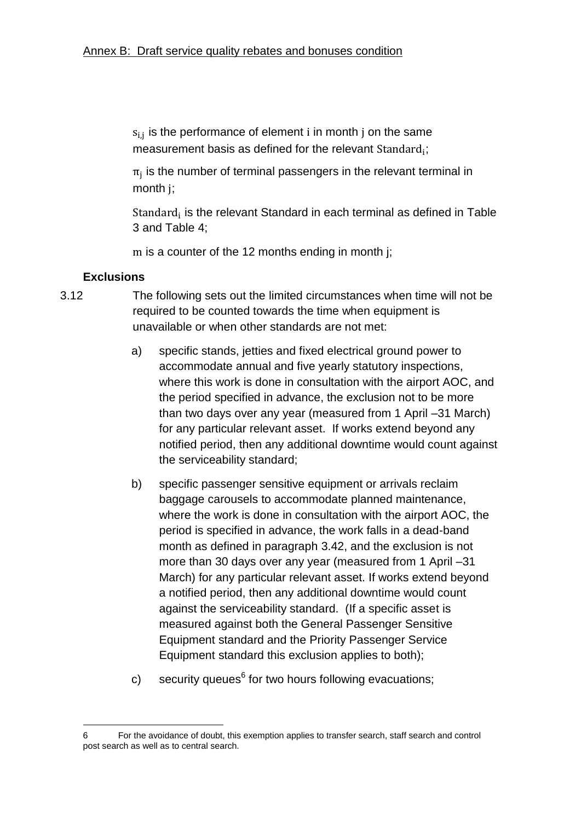$s_{i,j}$  is the performance of element i in month j on the same measurement basis as defined for the relevant Standard $_i$ ;

 $\pi_i$  is the number of terminal passengers in the relevant terminal in month ;

Standard<sub>i</sub> is the relevant Standard in each terminal as defined in Table [3](#page-38-0) and [Table 4;](#page-42-0)

m is a counter of the 12 months ending in month j;

### <span id="page-20-0"></span>**Exclusions**

1

- 3.12 The following sets out the limited circumstances when time will not be required to be counted towards the time when equipment is unavailable or when other standards are not met:
	- a) specific stands, jetties and fixed electrical ground power to accommodate annual and five yearly statutory inspections, where this work is done in consultation with the airport AOC, and the period specified in advance, the exclusion not to be more than two days over any year (measured from 1 April –31 March) for any particular relevant asset. If works extend beyond any notified period, then any additional downtime would count against the serviceability standard;
	- b) specific passenger sensitive equipment or arrivals reclaim baggage carousels to accommodate planned maintenance, where the work is done in consultation with the airport AOC, the period is specified in advance, the work falls in a dead-band month as defined in paragraph [3.42,](#page-36-0) and the exclusion is not more than 30 days over any year (measured from 1 April –31 March) for any particular relevant asset. If works extend beyond a notified period, then any additional downtime would count against the serviceability standard. (If a specific asset is measured against both the General Passenger Sensitive Equipment standard and the Priority Passenger Service Equipment standard this exclusion applies to both);
	- c) security queues<sup>6</sup> for two hours following evacuations;

<sup>6</sup> For the avoidance of doubt, this exemption applies to transfer search, staff search and control post search as well as to central search.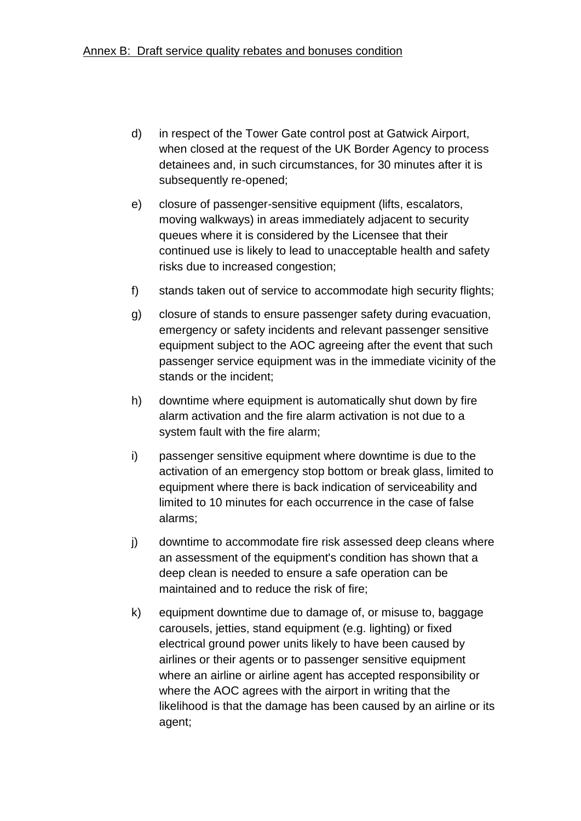- d) in respect of the Tower Gate control post at Gatwick Airport, when closed at the request of the UK Border Agency to process detainees and, in such circumstances, for 30 minutes after it is subsequently re-opened;
- e) closure of passenger-sensitive equipment (lifts, escalators, moving walkways) in areas immediately adjacent to security queues where it is considered by the Licensee that their continued use is likely to lead to unacceptable health and safety risks due to increased congestion;
- f) stands taken out of service to accommodate high security flights;
- g) closure of stands to ensure passenger safety during evacuation, emergency or safety incidents and relevant passenger sensitive equipment subject to the AOC agreeing after the event that such passenger service equipment was in the immediate vicinity of the stands or the incident;
- h) downtime where equipment is automatically shut down by fire alarm activation and the fire alarm activation is not due to a system fault with the fire alarm;
- i) passenger sensitive equipment where downtime is due to the activation of an emergency stop bottom or break glass, limited to equipment where there is back indication of serviceability and limited to 10 minutes for each occurrence in the case of false alarms;
- j) downtime to accommodate fire risk assessed deep cleans where an assessment of the equipment's condition has shown that a deep clean is needed to ensure a safe operation can be maintained and to reduce the risk of fire;
- k) equipment downtime due to damage of, or misuse to, baggage carousels, jetties, stand equipment (e.g. lighting) or fixed electrical ground power units likely to have been caused by airlines or their agents or to passenger sensitive equipment where an airline or airline agent has accepted responsibility or where the AOC agrees with the airport in writing that the likelihood is that the damage has been caused by an airline or its agent;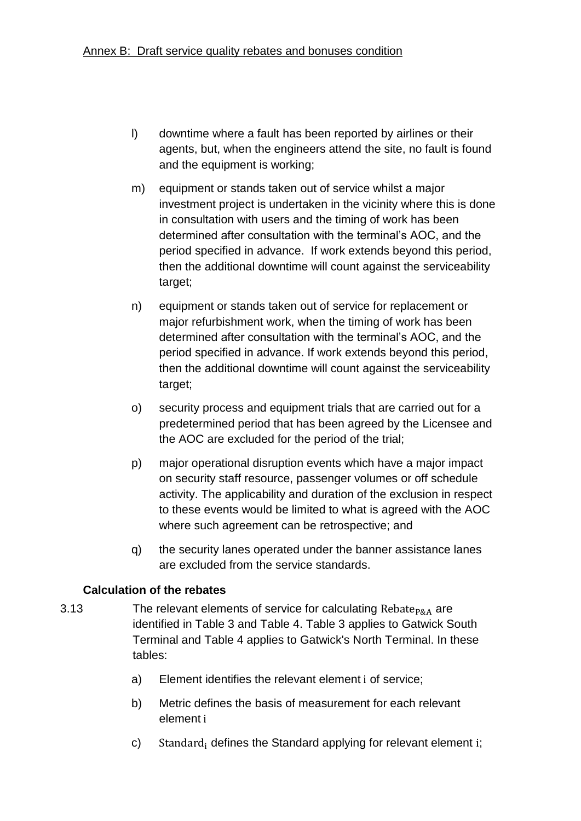- l) downtime where a fault has been reported by airlines or their agents, but, when the engineers attend the site, no fault is found and the equipment is working;
- m) equipment or stands taken out of service whilst a major investment project is undertaken in the vicinity where this is done in consultation with users and the timing of work has been determined after consultation with the terminal's AOC, and the period specified in advance. If work extends beyond this period, then the additional downtime will count against the serviceability target;
- n) equipment or stands taken out of service for replacement or major refurbishment work, when the timing of work has been determined after consultation with the terminal's AOC, and the period specified in advance. If work extends beyond this period, then the additional downtime will count against the serviceability target;
- o) security process and equipment trials that are carried out for a predetermined period that has been agreed by the Licensee and the AOC are excluded for the period of the trial;
- p) major operational disruption events which have a major impact on security staff resource, passenger volumes or off schedule activity. The applicability and duration of the exclusion in respect to these events would be limited to what is agreed with the AOC where such agreement can be retrospective; and
- q) the security lanes operated under the banner assistance lanes are excluded from the service standards.

# <span id="page-22-0"></span>**Calculation of the rebates**

- 3.13 The relevant elements of service for calculating Rebate<sub>P&A</sub> are identified in [Table 3](#page-38-0) and [Table 4.](#page-42-0) [Table 3](#page-38-0) applies to Gatwick South Terminal and [Table 4](#page-42-0) applies to Gatwick's North Terminal. In these tables:
	- a) Element identifies the relevant element i of service;
	- b) Metric defines the basis of measurement for each relevant element
	- c) Standard, defines the Standard applying for relevant element  $i$ ;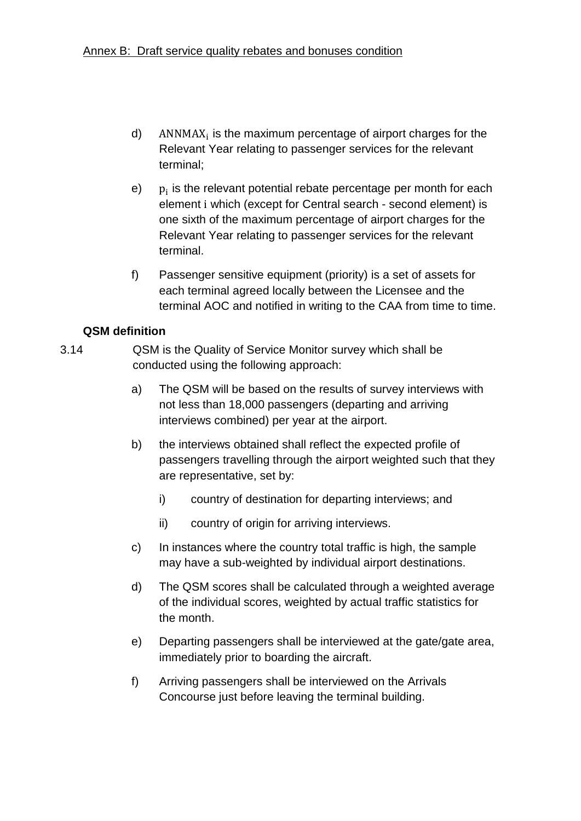- d)  $ANNMAX<sub>i</sub>$  is the maximum percentage of airport charges for the Relevant Year relating to passenger services for the relevant terminal;
- e)  $p_i$  is the relevant potential rebate percentage per month for each element i which (except for Central search - second element) is one sixth of the maximum percentage of airport charges for the Relevant Year relating to passenger services for the relevant terminal.
- f) Passenger sensitive equipment (priority) is a set of assets for each terminal agreed locally between the Licensee and the terminal AOC and notified in writing to the CAA from time to time.

# **QSM definition**

- 3.14 QSM is the Quality of Service Monitor survey which shall be conducted using the following approach:
	- a) The QSM will be based on the results of survey interviews with not less than 18,000 passengers (departing and arriving interviews combined) per year at the airport.
	- b) the interviews obtained shall reflect the expected profile of passengers travelling through the airport weighted such that they are representative, set by:
		- i) country of destination for departing interviews; and
		- ii) country of origin for arriving interviews.
	- c) In instances where the country total traffic is high, the sample may have a sub-weighted by individual airport destinations.
	- d) The QSM scores shall be calculated through a weighted average of the individual scores, weighted by actual traffic statistics for the month.
	- e) Departing passengers shall be interviewed at the gate/gate area, immediately prior to boarding the aircraft.
	- f) Arriving passengers shall be interviewed on the Arrivals Concourse just before leaving the terminal building.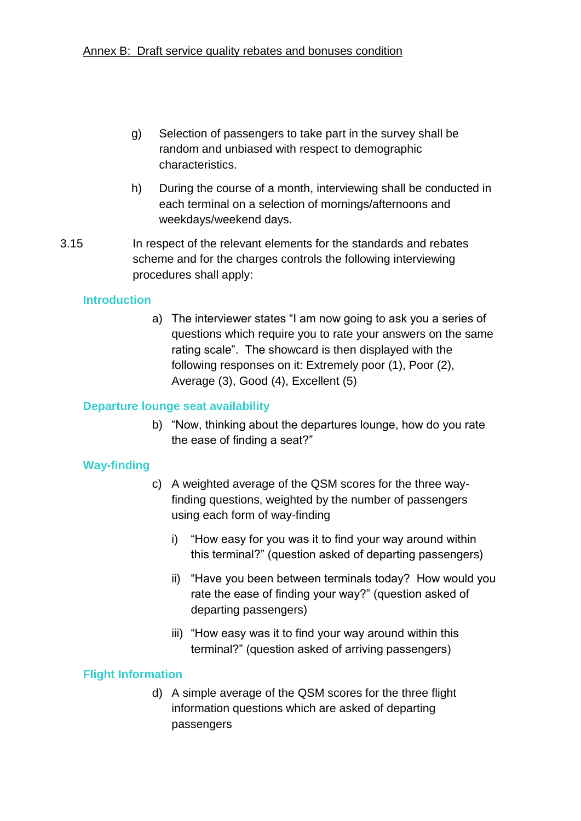- g) Selection of passengers to take part in the survey shall be random and unbiased with respect to demographic characteristics.
- h) During the course of a month, interviewing shall be conducted in each terminal on a selection of mornings/afternoons and weekdays/weekend days.
- 3.15 In respect of the relevant elements for the standards and rebates scheme and for the charges controls the following interviewing procedures shall apply:

# **Introduction**

a) The interviewer states "I am now going to ask you a series of questions which require you to rate your answers on the same rating scale". The showcard is then displayed with the following responses on it: Extremely poor (1), Poor (2), Average (3), Good (4), Excellent (5)

# **Departure lounge seat availability**

b) "Now, thinking about the departures lounge, how do you rate the ease of finding a seat?"

# **Way-finding**

- c) A weighted average of the QSM scores for the three wayfinding questions, weighted by the number of passengers using each form of way-finding
	- i) "How easy for you was it to find your way around within this terminal?" (question asked of departing passengers)
	- ii) "Have you been between terminals today? How would you rate the ease of finding your way?" (question asked of departing passengers)
	- iii) "How easy was it to find your way around within this terminal?" (question asked of arriving passengers)

# **Flight Information**

d) A simple average of the QSM scores for the three flight information questions which are asked of departing passengers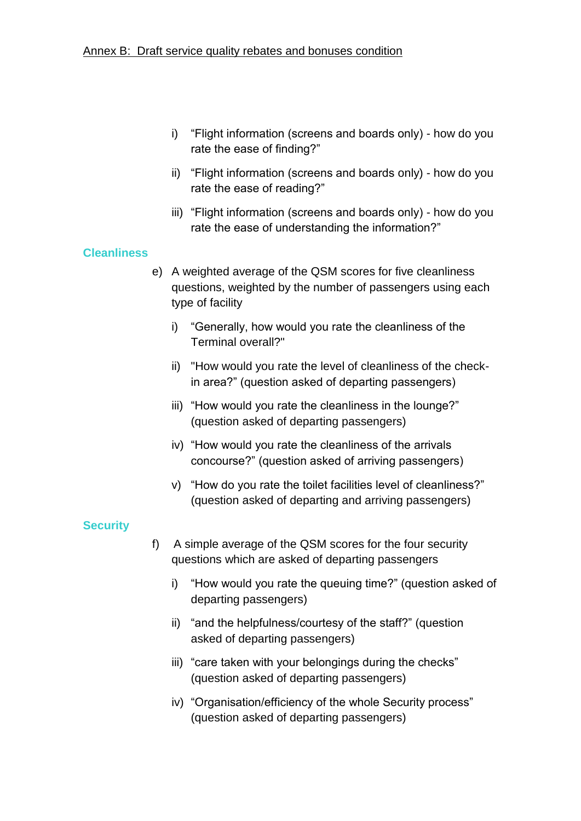- i) "Flight information (screens and boards only) how do you rate the ease of finding?"
- ii) "Flight information (screens and boards only) how do you rate the ease of reading?"
- iii) "Flight information (screens and boards only) how do you rate the ease of understanding the information?"

#### **Cleanliness**

- e) A weighted average of the QSM scores for five cleanliness questions, weighted by the number of passengers using each type of facility
	- i) "Generally, how would you rate the cleanliness of the Terminal overall?"
	- ii) "How would you rate the level of cleanliness of the checkin area?" (question asked of departing passengers)
	- iii) "How would you rate the cleanliness in the lounge?" (question asked of departing passengers)
	- iv) "How would you rate the cleanliness of the arrivals concourse?" (question asked of arriving passengers)
	- v) "How do you rate the toilet facilities level of cleanliness?" (question asked of departing and arriving passengers)

# **Security**

- f) A simple average of the QSM scores for the four security questions which are asked of departing passengers
	- i) "How would you rate the queuing time?" (question asked of departing passengers)
	- ii) "and the helpfulness/courtesy of the staff?" (question asked of departing passengers)
	- iii) "care taken with your belongings during the checks" (question asked of departing passengers)
	- iv) "Organisation/efficiency of the whole Security process" (question asked of departing passengers)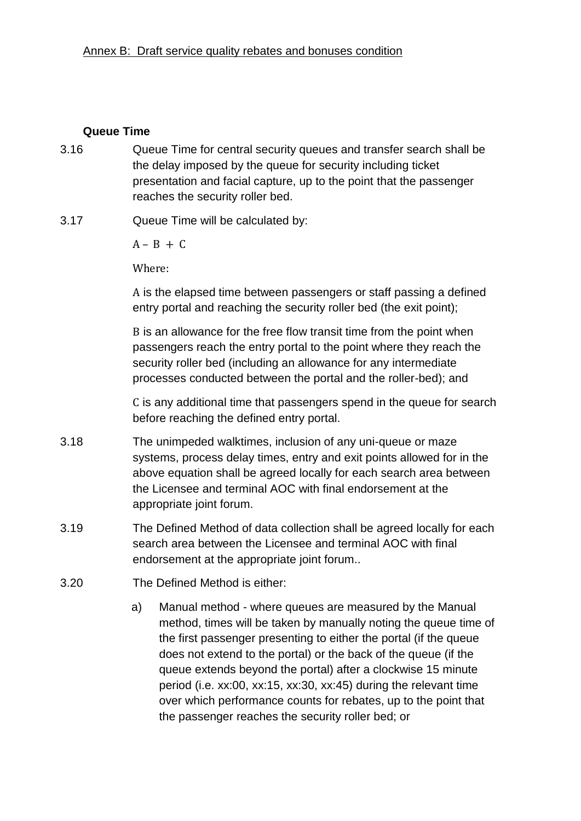#### **Queue Time**

- 3.16 Queue Time for central security queues and transfer search shall be the delay imposed by the queue for security including ticket presentation and facial capture, up to the point that the passenger reaches the security roller bed.
- 3.17 Queue Time will be calculated by:

 $A - B + C$ 

Where:

A is the elapsed time between passengers or staff passing a defined entry portal and reaching the security roller bed (the exit point);

B is an allowance for the free flow transit time from the point when passengers reach the entry portal to the point where they reach the security roller bed (including an allowance for any intermediate processes conducted between the portal and the roller-bed); and

C is any additional time that passengers spend in the queue for search before reaching the defined entry portal.

- 3.18 The unimpeded walktimes, inclusion of any uni-queue or maze systems, process delay times, entry and exit points allowed for in the above equation shall be agreed locally for each search area between the Licensee and terminal AOC with final endorsement at the appropriate joint forum.
- 3.19 The Defined Method of data collection shall be agreed locally for each search area between the Licensee and terminal AOC with final endorsement at the appropriate joint forum..
- 3.20 The Defined Method is either:
	- a) Manual method where queues are measured by the Manual method, times will be taken by manually noting the queue time of the first passenger presenting to either the portal (if the queue does not extend to the portal) or the back of the queue (if the queue extends beyond the portal) after a clockwise 15 minute period (i.e. xx:00, xx:15, xx:30, xx:45) during the relevant time over which performance counts for rebates, up to the point that the passenger reaches the security roller bed; or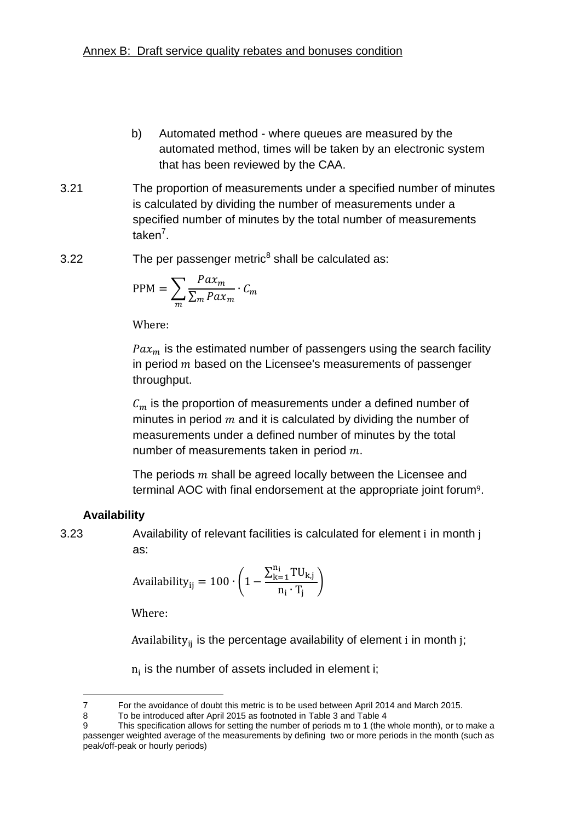- b) Automated method where queues are measured by the automated method, times will be taken by an electronic system that has been reviewed by the CAA.
- 3.21 The proportion of measurements under a specified number of minutes is calculated by dividing the number of measurements under a specified number of minutes by the total number of measurements taken<sup>7</sup>.
- 3.22 The per passenger metric<sup>8</sup> shall be calculated as:

$$
PPM = \sum_{m} \frac{Pax_m}{\sum_{m} Pax_m} \cdot C_m
$$

Where:

 $Pax_m$  is the estimated number of passengers using the search facility in period  $m$  based on the Licensee's measurements of passenger throughput.

 $C_m$  is the proportion of measurements under a defined number of minutes in period  $m$  and it is calculated by dividing the number of measurements under a defined number of minutes by the total number of measurements taken in period  $m$ .

The periods  $m$  shall be agreed locally between the Licensee and terminal AOC with final endorsement at the appropriate joint forum9.

# **Availability**

3.23 Availability of relevant facilities is calculated for element i in month j as:

$$
\text{Availableility}_{ij} = 100 \cdot \left(1 - \frac{\sum_{k=1}^{n_i} TU_{k,j}}{n_i \cdot T_j}\right)
$$

Where:

Availability<sub>ij</sub> is the percentage availability of element i in month j;

 $n_i$  is the number of assets included in element i;

<sup>1</sup> 7 For the avoidance of doubt this metric is to be used between April 2014 and March 2015.

<sup>8</sup> To be introduced after April 2015 as footnoted in [Table 3](#page-38-0) and [Table 4](#page-42-0)

<sup>9</sup> This specification allows for setting the number of periods m to 1 (the whole month), or to make a passenger weighted average of the measurements by defining two or more periods in the month (such as peak/off-peak or hourly periods)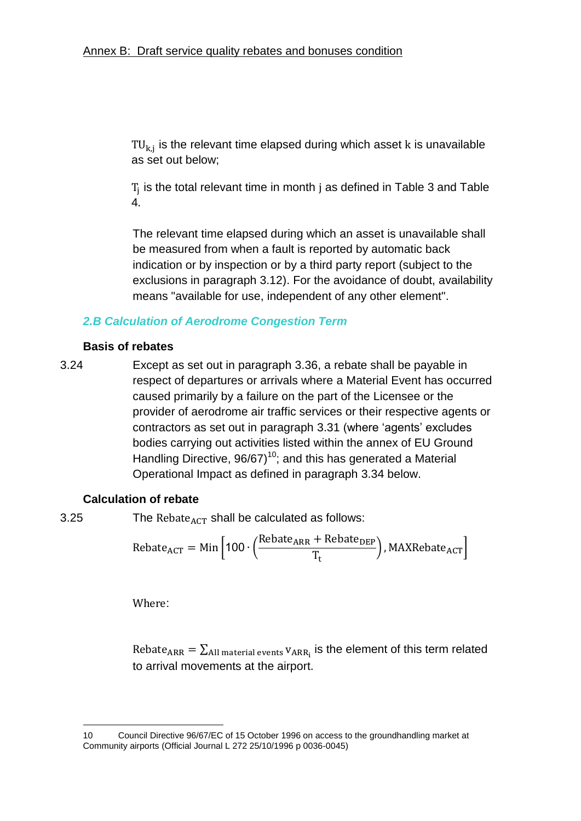$TU_{k,i}$  is the relevant time elapsed during which asset  $k$  is unavailable as set out below;

 $T_i$  is the total relevant time in month j as defined in [Table 3](#page-38-0) and Table [4](#page-42-0).

The relevant time elapsed during which an asset is unavailable shall be measured from when a fault is reported by automatic back indication or by inspection or by a third party report (subject to the exclusions in paragraph [3.12\)](#page-20-0). For the avoidance of doubt, availability means "available for use, independent of any other element".

# *2.B Calculation of Aerodrome Congestion Term*

### **Basis of rebates**

3.24 Except as set out in paragraph [3.36,](#page-33-0) a rebate shall be payable in respect of departures or arrivals where a Material Event has occurred caused primarily by a failure on the part of the Licensee or the provider of aerodrome air traffic services or their respective agents or contractors as set out in paragraph [3.31](#page-31-0) (where 'agents' excludes bodies carrying out activities listed within the annex of EU Ground Handling Directive,  $96/67$ <sup>10</sup>; and this has generated a Material Operational Impact as defined in paragraph [3.34](#page-33-1) below.

#### **Calculation of rebate**

1

3.25 The Rebate  $_{\text{ACT}}$  shall be calculated as follows:

$$
Rebate_{ACT} = Min \left[ 100 \cdot \left( \frac{Rebate_{ARR} + Rebate_{DEP}}{T_t} \right), MAXRebate_{ACT} \right]
$$

Where:

Rebate<sub>ARR</sub> =  $\Sigma_{\text{All material events}}$  v<sub>ARR</sub>, is the element of this term related to arrival movements at the airport.

<sup>10</sup> Council Directive 96/67/EC of 15 October 1996 on access to the groundhandling market at Community airports (Official Journal L 272 25/10/1996 p 0036-0045)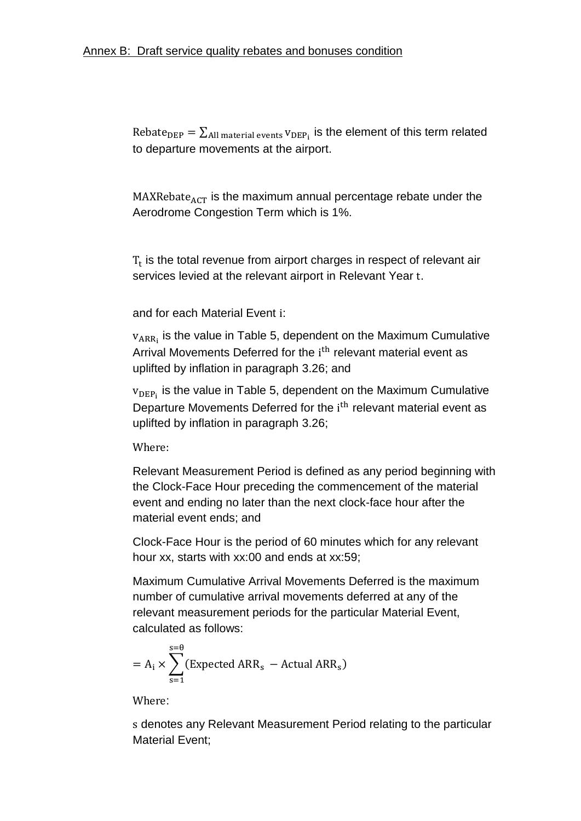Rebate<sub>DEP</sub> =  $\Sigma_{\text{All material events}}$  v<sub>DEP</sub>, is the element of this term related to departure movements at the airport.

 $MAXRebate_{ACT}$  is the maximum annual percentage rebate under the Aerodrome Congestion Term which is 1%.

 $T_t$  is the total revenue from airport charges in respect of relevant air services levied at the relevant airport in Relevant Year t.

and for each Material Event :

 $v_{ARRi}$  is the value in [Table 5,](#page-46-0) dependent on the Maximum Cumulative Arrival Movements Deferred for the i<sup>th</sup> relevant material event as uplifted by inflation in paragraph [3.26;](#page-30-0) and

 $v_{\text{DEP}_1}$  is the value in [Table 5,](#page-46-0) dependent on the Maximum Cumulative Departure Movements Deferred for the i<sup>th</sup> relevant material event as uplifted by inflation in paragraph [3.26;](#page-30-0)

Where.

Relevant Measurement Period is defined as any period beginning with the Clock-Face Hour preceding the commencement of the material event and ending no later than the next clock-face hour after the material event ends; and

Clock-Face Hour is the period of 60 minutes which for any relevant hour xx, starts with xx:00 and ends at xx:59;

Maximum Cumulative Arrival Movements Deferred is the maximum number of cumulative arrival movements deferred at any of the relevant measurement periods for the particular Material Event, calculated as follows:

$$
= A_{i} \times \sum_{s=1}^{s=0} (Expected ARR_{s} - Actual ARR_{s})
$$

Where:

 denotes any Relevant Measurement Period relating to the particular Material Event;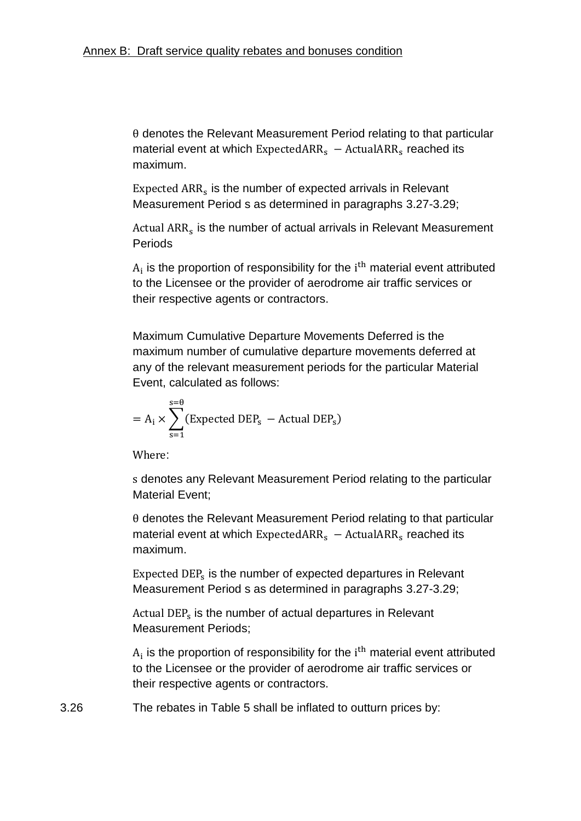$\theta$  denotes the Relevant Measurement Period relating to that particular material event at which  $ExpectedARR<sub>s</sub> - ActualARR<sub>s</sub>$  reached its maximum.

Expected  $ARR<sub>s</sub>$  is the number of expected arrivals in Relevant Measurement Period s as determined in paragraphs [3.27](#page-31-1)[-3.29;](#page-31-2)

Actual ARR<sub>s</sub> is the number of actual arrivals in Relevant Measurement Periods

 $A_i$  is the proportion of responsibility for the  $i<sup>th</sup>$  material event attributed to the Licensee or the provider of aerodrome air traffic services or their respective agents or contractors.

Maximum Cumulative Departure Movements Deferred is the maximum number of cumulative departure movements deferred at any of the relevant measurement periods for the particular Material Event, calculated as follows:

$$
= A_i \times \sum_{s=1}^{s=\theta} (Expected DEP_s - Actual DEP_s)
$$

Where:

 denotes any Relevant Measurement Period relating to the particular Material Event;

 $\theta$  denotes the Relevant Measurement Period relating to that particular material event at which Expected ARR<sub>s</sub>  $-$  Actual ARR<sub>s</sub> reached its maximum.

Expected  $\text{DEP}_s$  is the number of expected departures in Relevant Measurement Period s as determined in paragraphs [3.27](#page-31-1)[-3.29;](#page-31-2)

Actual DEP<sub>s</sub> is the number of actual departures in Relevant Measurement Periods;

 $A_i$  is the proportion of responsibility for the  $i<sup>th</sup>$  material event attributed to the Licensee or the provider of aerodrome air traffic services or their respective agents or contractors.

<span id="page-30-0"></span>3.26 The rebates in [Table 5](#page-46-0) shall be inflated to outturn prices by: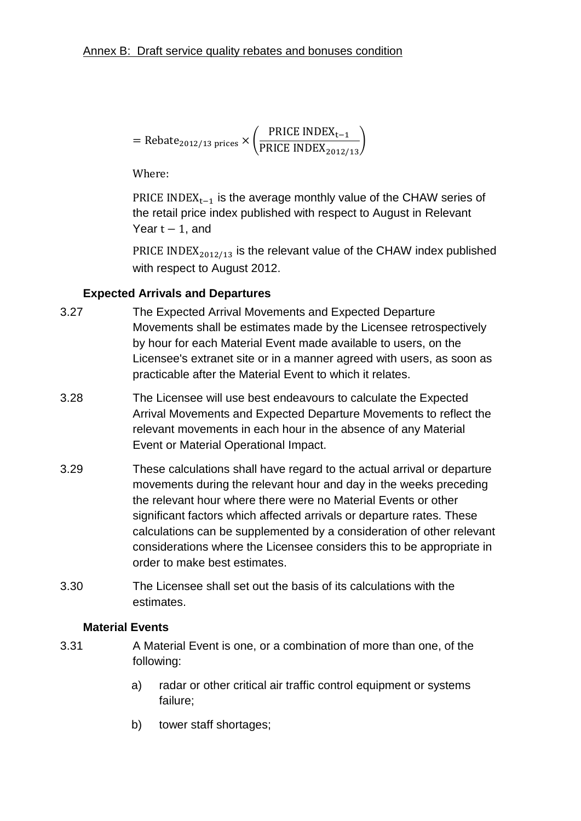= 
$$
Rebate_{2012/13 \text{ prices}} \times \left(\frac{PRICE INDEX_{t-1}}{PRICE INDEX_{2012/13}}\right)
$$

Where:

PRICE INDEX<sub>t-1</sub> is the average monthly value of the CHAW series of the retail price index published with respect to August in Relevant Year  $t - 1$ , and

PRICE INDEX $_{2012/13}$  is the relevant value of the CHAW index published with respect to August 2012.

# <span id="page-31-1"></span>**Expected Arrivals and Departures**

- 3.27 The Expected Arrival Movements and Expected Departure Movements shall be estimates made by the Licensee retrospectively by hour for each Material Event made available to users, on the Licensee's extranet site or in a manner agreed with users, as soon as practicable after the Material Event to which it relates.
- 3.28 The Licensee will use best endeavours to calculate the Expected Arrival Movements and Expected Departure Movements to reflect the relevant movements in each hour in the absence of any Material Event or Material Operational Impact.
- <span id="page-31-2"></span>3.29 These calculations shall have regard to the actual arrival or departure movements during the relevant hour and day in the weeks preceding the relevant hour where there were no Material Events or other significant factors which affected arrivals or departure rates. These calculations can be supplemented by a consideration of other relevant considerations where the Licensee considers this to be appropriate in order to make best estimates.
- 3.30 The Licensee shall set out the basis of its calculations with the estimates.

#### <span id="page-31-0"></span>**Material Events**

- 3.31 A Material Event is one, or a combination of more than one, of the following:
	- a) radar or other critical air traffic control equipment or systems failure;
	- b) tower staff shortages;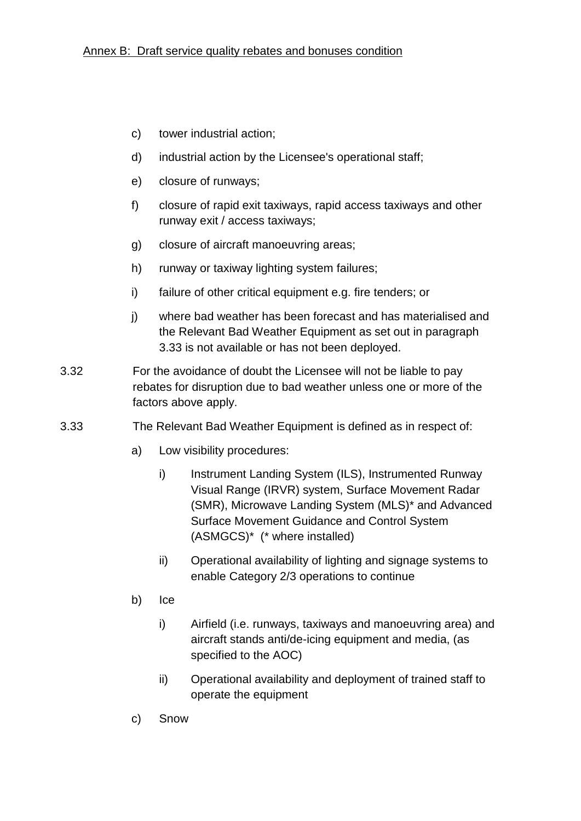- c) tower industrial action;
- d) industrial action by the Licensee's operational staff;
- e) closure of runways;
- f) closure of rapid exit taxiways, rapid access taxiways and other runway exit / access taxiways;
- g) closure of aircraft manoeuvring areas;
- h) runway or taxiway lighting system failures;
- i) failure of other critical equipment e.g. fire tenders; or
- j) where bad weather has been forecast and has materialised and the Relevant Bad Weather Equipment as set out in paragraph [3.33](#page-32-0) is not available or has not been deployed.
- 3.32 For the avoidance of doubt the Licensee will not be liable to pay rebates for disruption due to bad weather unless one or more of the factors above apply.
- <span id="page-32-0"></span>3.33 The Relevant Bad Weather Equipment is defined as in respect of:
	- a) Low visibility procedures:
		- i) Instrument Landing System (ILS), Instrumented Runway Visual Range (IRVR) system, Surface Movement Radar (SMR), Microwave Landing System (MLS)\* and Advanced Surface Movement Guidance and Control System (ASMGCS)\* (\* where installed)
		- ii) Operational availability of lighting and signage systems to enable Category 2/3 operations to continue
	- b) Ice
		- i) Airfield (i.e. runways, taxiways and manoeuvring area) and aircraft stands anti/de-icing equipment and media, (as specified to the AOC)
		- ii) Operational availability and deployment of trained staff to operate the equipment
	- c) Snow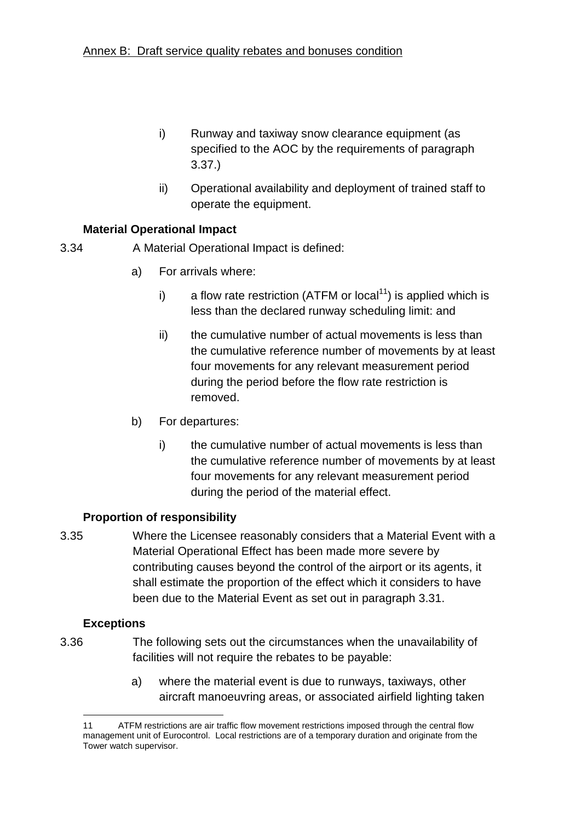- i) Runway and taxiway snow clearance equipment (as specified to the AOC by the requirements of paragraph [3.37.](#page-34-0))
- ii) Operational availability and deployment of trained staff to operate the equipment.

# <span id="page-33-1"></span>**Material Operational Impact**

3.34 A Material Operational Impact is defined:

- a) For arrivals where:
	- i) a flow rate restriction (ATFM or local<sup>11</sup>) is applied which is less than the declared runway scheduling limit: and
	- ii) the cumulative number of actual movements is less than the cumulative reference number of movements by at least four movements for any relevant measurement period during the period before the flow rate restriction is removed.
- b) For departures:
	- i) the cumulative number of actual movements is less than the cumulative reference number of movements by at least four movements for any relevant measurement period during the period of the material effect.

# <span id="page-33-2"></span>**Proportion of responsibility**

3.35 Where the Licensee reasonably considers that a Material Event with a Material Operational Effect has been made more severe by contributing causes beyond the control of the airport or its agents, it shall estimate the proportion of the effect which it considers to have been due to the Material Event as set out in paragraph [3.31.](#page-31-0)

# <span id="page-33-0"></span>**Exceptions**

1

- 3.36 The following sets out the circumstances when the unavailability of facilities will not require the rebates to be payable:
	- a) where the material event is due to runways, taxiways, other aircraft manoeuvring areas, or associated airfield lighting taken

<sup>11</sup> ATFM restrictions are air traffic flow movement restrictions imposed through the central flow management unit of Eurocontrol. Local restrictions are of a temporary duration and originate from the Tower watch supervisor.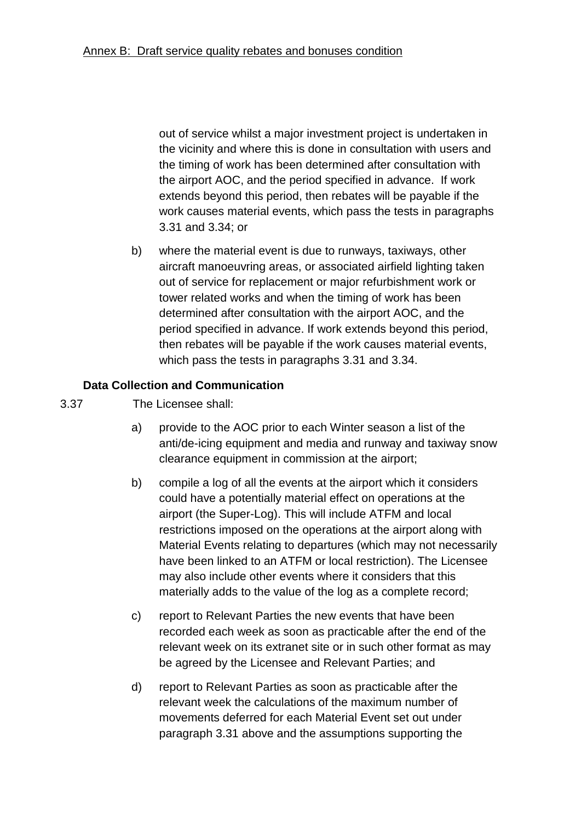out of service whilst a major investment project is undertaken in the vicinity and where this is done in consultation with users and the timing of work has been determined after consultation with the airport AOC, and the period specified in advance. If work extends beyond this period, then rebates will be payable if the work causes material events, which pass the tests in paragraphs [3.31](#page-31-0) and [3.34;](#page-33-1) or

b) where the material event is due to runways, taxiways, other aircraft manoeuvring areas, or associated airfield lighting taken out of service for replacement or major refurbishment work or tower related works and when the timing of work has been determined after consultation with the airport AOC, and the period specified in advance. If work extends beyond this period, then rebates will be payable if the work causes material events, which pass the tests in paragraphs [3.31](#page-31-0) and [3.34.](#page-33-1)

# <span id="page-34-0"></span>**Data Collection and Communication**

- 3.37 The Licensee shall:
	- a) provide to the AOC prior to each Winter season a list of the anti/de-icing equipment and media and runway and taxiway snow clearance equipment in commission at the airport;
	- b) compile a log of all the events at the airport which it considers could have a potentially material effect on operations at the airport (the Super-Log). This will include ATFM and local restrictions imposed on the operations at the airport along with Material Events relating to departures (which may not necessarily have been linked to an ATFM or local restriction). The Licensee may also include other events where it considers that this materially adds to the value of the log as a complete record;
	- c) report to Relevant Parties the new events that have been recorded each week as soon as practicable after the end of the relevant week on its extranet site or in such other format as may be agreed by the Licensee and Relevant Parties; and
	- d) report to Relevant Parties as soon as practicable after the relevant week the calculations of the maximum number of movements deferred for each Material Event set out under paragraph [3.31](#page-31-0) above and the assumptions supporting the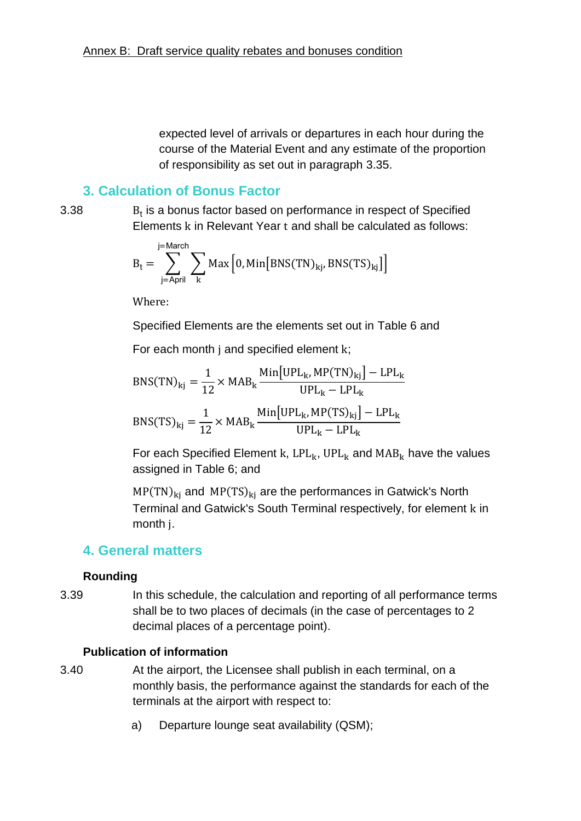expected level of arrivals or departures in each hour during the course of the Material Event and any estimate of the proportion of responsibility as set out in paragraph [3.35.](#page-33-2)

# **3. Calculation of Bonus Factor**

3.38 <sup>t</sup>

 $B_t$  is a bonus factor based on performance in respect of Specified Elements k in Relevant Year t and shall be calculated as follows:

$$
B_{t} = \sum_{j=April}^{j=March} \sum_{k} Max \left[ 0, Min \left[ BNS(TN)_{kj}, BNS(TS)_{kj} \right] \right]
$$

Where:

Specified Elements are the elements set out in [Table 6](#page-47-0) and

For each month  $j$  and specified element  $k$ ;

$$
BNS(TN)_{kj} = \frac{1}{12} \times MAB_k \frac{\text{Min}[UPL_k, MP(TN)_{kj}] - LPL_k}{UPL_k - LPL_k}
$$

$$
BNS(TS)_{kj} = \frac{1}{12} \times MAB_k \frac{\text{Min}[UPL_k, MP(TS)_{kj}] - LPL_k}{UPL_k - LPL_k}
$$

For each Specified Element k,  $LPL_k$ , UPL<sub>k</sub> and  $MAB_k$  have the values assigned in [Table 6;](#page-47-0) and

 $MP(TN)_{ki}$  and  $MP(TS)_{ki}$  are the performances in Gatwick's North Terminal and Gatwick's South Terminal respectively, for element k in month *j*.

# **4. General matters**

#### **Rounding**

3.39 In this schedule, the calculation and reporting of all performance terms shall be to two places of decimals (in the case of percentages to 2 decimal places of a percentage point).

#### **Publication of information**

- 3.40 At the airport, the Licensee shall publish in each terminal, on a monthly basis, the performance against the standards for each of the terminals at the airport with respect to:
	- a) Departure lounge seat availability (QSM);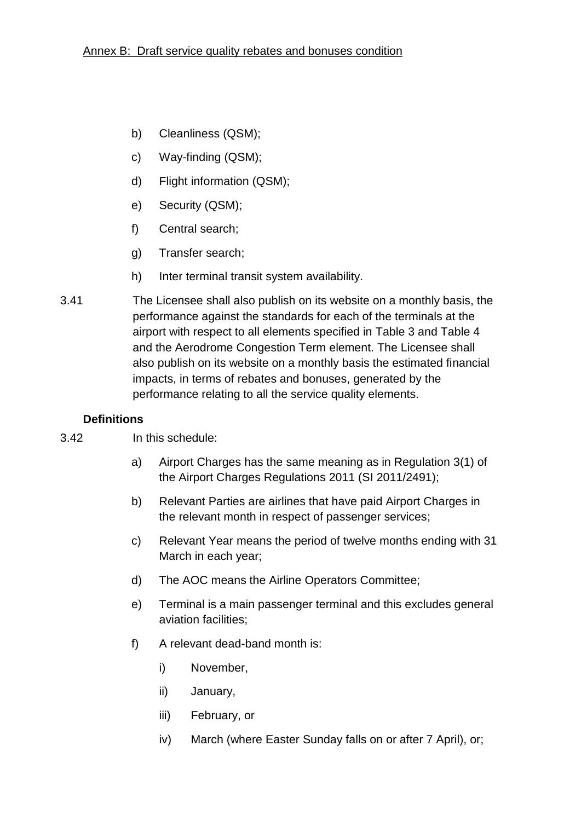- b) Cleanliness (QSM);
- c) Way-finding (QSM);
- d) Flight information (QSM);
- e) Security (QSM);
- f) Central search;
- g) Transfer search;
- h) Inter terminal transit system availability.
- 3.41 The Licensee shall also publish on its website on a monthly basis, the performance against the standards for each of the terminals at the airport with respect to all elements specified in [Table 3](#page-38-0) and [Table 4](#page-42-0) and the Aerodrome Congestion Term element. The Licensee shall also publish on its website on a monthly basis the estimated financial impacts, in terms of rebates and bonuses, generated by the performance relating to all the service quality elements.

# <span id="page-36-0"></span>**Definitions**

- 3.42 In this schedule:
	- a) Airport Charges has the same meaning as in Regulation 3(1) of the Airport Charges Regulations 2011 (SI 2011/2491);
	- b) Relevant Parties are airlines that have paid Airport Charges in the relevant month in respect of passenger services;
	- c) Relevant Year means the period of twelve months ending with 31 March in each year;
	- d) The AOC means the Airline Operators Committee;
	- e) Terminal is a main passenger terminal and this excludes general aviation facilities;
	- f) A relevant dead-band month is:
		- i) November,
		- ii) January,
		- iii) February, or
		- iv) March (where Easter Sunday falls on or after 7 April), or;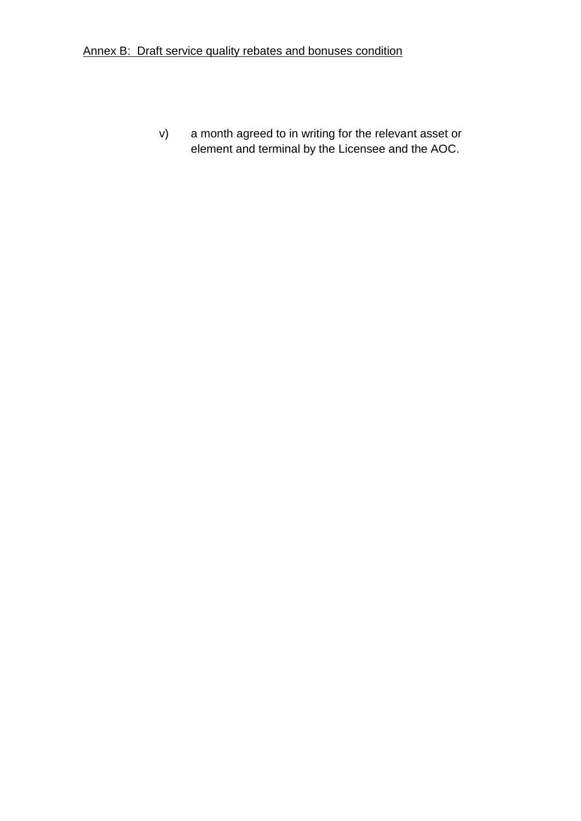v) a month agreed to in writing for the relevant asset or element and terminal by the Licensee and the AOC.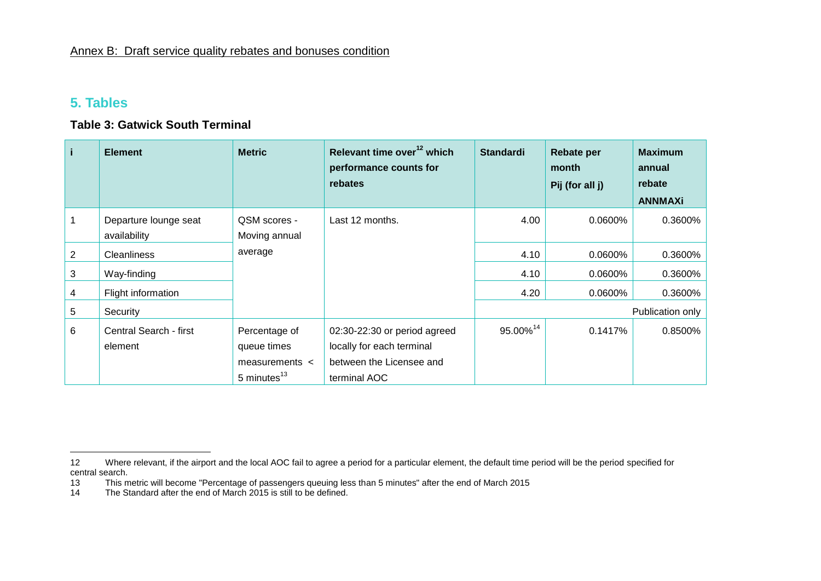# **5. Tables**

<span id="page-38-0"></span> $\overline{a}$ 

#### **Table 3: Gatwick South Terminal**

| i. | <b>Element</b>                        | <b>Metric</b>                                                           | Relevant time over <sup>12</sup> which<br>performance counts for<br>rebates                           | <b>Standardi</b>     | <b>Rebate per</b><br>month<br>Pij (for all j) | <b>Maximum</b><br>annual<br>rebate<br><b>ANNMAXi</b> |
|----|---------------------------------------|-------------------------------------------------------------------------|-------------------------------------------------------------------------------------------------------|----------------------|-----------------------------------------------|------------------------------------------------------|
|    | Departure lounge seat<br>availability | QSM scores -<br>Moving annual                                           | Last 12 months.                                                                                       | 4.00                 | 0.0600%                                       | 0.3600%                                              |
| 2  | <b>Cleanliness</b>                    | average                                                                 |                                                                                                       | 4.10                 | 0.0600%                                       | 0.3600%                                              |
| 3  | Way-finding                           |                                                                         |                                                                                                       | 4.10                 | 0.0600%                                       | 0.3600%                                              |
| 4  | Flight information                    |                                                                         |                                                                                                       | 4.20                 | 0.0600%                                       | 0.3600%                                              |
| 5  | Security                              |                                                                         |                                                                                                       |                      |                                               | Publication only                                     |
| 6  | Central Search - first<br>element     | Percentage of<br>queue times<br>measurements $\lt$<br>5 minutes $^{13}$ | 02:30-22:30 or period agreed<br>locally for each terminal<br>between the Licensee and<br>terminal AOC | 95.00% <sup>14</sup> | 0.1417%                                       | 0.8500%                                              |

<sup>12</sup> Where relevant, if the airport and the local AOC fail to agree a period for a particular element, the default time period will be the period specified for central search.

<sup>13</sup> This metric will become "Percentage of passengers queuing less than 5 minutes" after the end of March 2015

<sup>14</sup> The Standard after the end of March 2015 is still to be defined.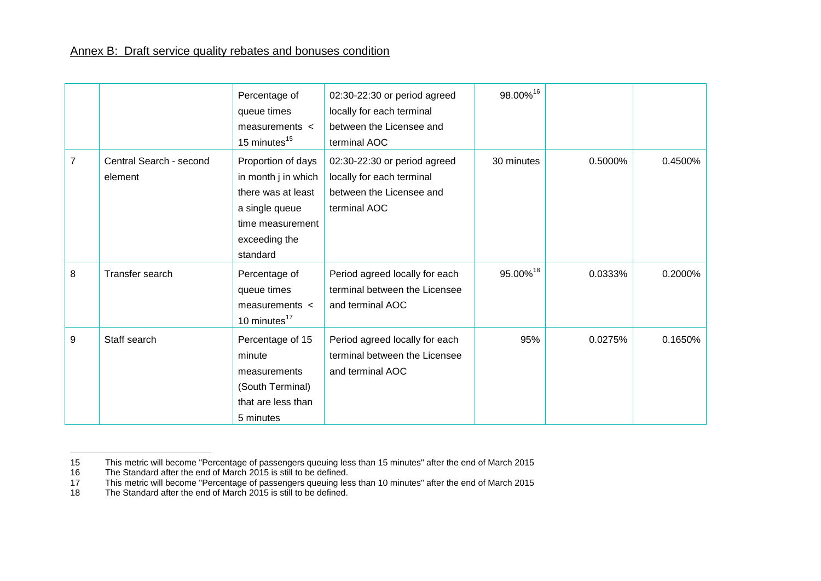|   |                                    | Percentage of<br>queue times<br>measurements <<br>15 minutes <sup>15</sup>                                                         | 02:30-22:30 or period agreed<br>locally for each terminal<br>between the Licensee and<br>terminal AOC | 98.00%16   |         |         |
|---|------------------------------------|------------------------------------------------------------------------------------------------------------------------------------|-------------------------------------------------------------------------------------------------------|------------|---------|---------|
| 7 | Central Search - second<br>element | Proportion of days<br>in month j in which<br>there was at least<br>a single queue<br>time measurement<br>exceeding the<br>standard | 02:30-22:30 or period agreed<br>locally for each terminal<br>between the Licensee and<br>terminal AOC | 30 minutes | 0.5000% | 0.4500% |
| 8 | Transfer search                    | Percentage of<br>queue times<br>measurements <<br>10 minutes <sup>17</sup>                                                         | Period agreed locally for each<br>terminal between the Licensee<br>and terminal AOC                   | 95.00%18   | 0.0333% | 0.2000% |
| 9 | Staff search                       | Percentage of 15<br>minute<br>measurements<br>(South Terminal)<br>that are less than<br>5 minutes                                  | Period agreed locally for each<br>terminal between the Licensee<br>and terminal AOC                   | 95%        | 0.0275% | 0.1650% |

 $\overline{a}$ 

<sup>15</sup> This metric will become "Percentage of passengers queuing less than 15 minutes" after the end of March 2015

<sup>16</sup> The Standard after the end of March 2015 is still to be defined.

<sup>17</sup> This metric will become "Percentage of passengers queuing less than 10 minutes" after the end of March 2015

<sup>18</sup> The Standard after the end of March 2015 is still to be defined.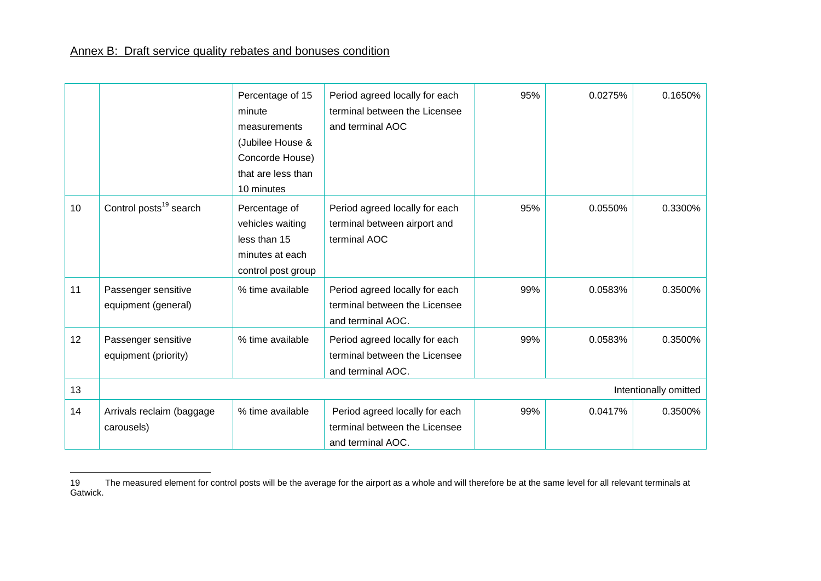$\overline{a}$ 

|    |                                             | Percentage of 15<br>minute<br>measurements<br>(Jubilee House &<br>Concorde House)<br>that are less than<br>10 minutes | Period agreed locally for each<br>terminal between the Licensee<br>and terminal AOC  | 95% | 0.0275% | 0.1650%               |
|----|---------------------------------------------|-----------------------------------------------------------------------------------------------------------------------|--------------------------------------------------------------------------------------|-----|---------|-----------------------|
| 10 | Control posts <sup>19</sup> search          | Percentage of<br>vehicles waiting<br>less than 15<br>minutes at each<br>control post group                            | Period agreed locally for each<br>terminal between airport and<br>terminal AOC       | 95% | 0.0550% | 0.3300%               |
| 11 | Passenger sensitive<br>equipment (general)  | % time available                                                                                                      | Period agreed locally for each<br>terminal between the Licensee<br>and terminal AOC. | 99% | 0.0583% | 0.3500%               |
| 12 | Passenger sensitive<br>equipment (priority) | % time available                                                                                                      | Period agreed locally for each<br>terminal between the Licensee<br>and terminal AOC. | 99% | 0.0583% | 0.3500%               |
| 13 |                                             |                                                                                                                       |                                                                                      |     |         | Intentionally omitted |
| 14 | Arrivals reclaim (baggage<br>carousels)     | % time available                                                                                                      | Period agreed locally for each<br>terminal between the Licensee<br>and terminal AOC. | 99% | 0.0417% | 0.3500%               |

The measured element for control posts will be the average for the airport as a whole and will therefore be at the same level for all relevant terminals at Gatwick.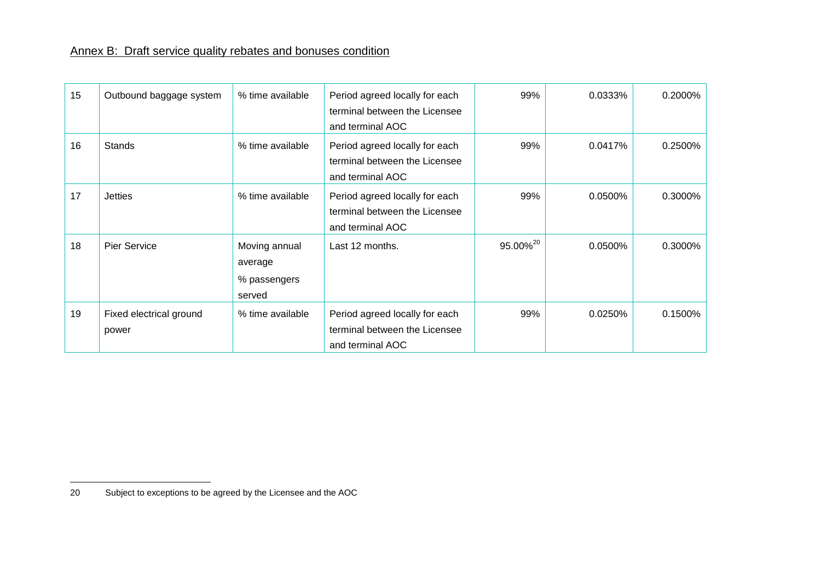| 15 | Outbound baggage system          | % time available                                   | Period agreed locally for each<br>terminal between the Licensee<br>and terminal AOC | 99%                  | 0.0333% | 0.2000% |
|----|----------------------------------|----------------------------------------------------|-------------------------------------------------------------------------------------|----------------------|---------|---------|
| 16 | <b>Stands</b>                    | % time available                                   | Period agreed locally for each<br>terminal between the Licensee<br>and terminal AOC | 99%                  | 0.0417% | 0.2500% |
| 17 | <b>Jetties</b>                   | % time available                                   | Period agreed locally for each<br>terminal between the Licensee<br>and terminal AOC | 99%                  | 0.0500% | 0.3000% |
| 18 | <b>Pier Service</b>              | Moving annual<br>average<br>% passengers<br>served | Last 12 months.                                                                     | 95.00% <sup>20</sup> | 0.0500% | 0.3000% |
| 19 | Fixed electrical ground<br>power | % time available                                   | Period agreed locally for each<br>terminal between the Licensee<br>and terminal AOC | 99%                  | 0.0250% | 0.1500% |

<sup>20</sup> Subject to exceptions to be agreed by the Licensee and the AOC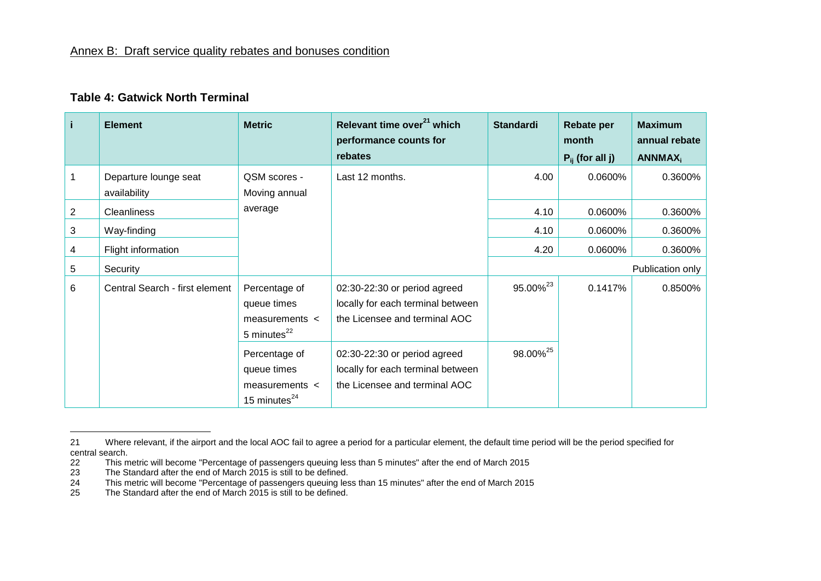### **Table 4: Gatwick North Terminal**

| i.             | <b>Element</b>                        | <b>Metric</b>                                                           | Relevant time over <sup>21</sup> which<br>performance counts for<br>rebates                        | <b>Standardi</b>     | <b>Rebate per</b><br>month<br>$P_{ii}$ (for all j) | <b>Maximum</b><br>annual rebate<br><b>ANNMAX</b> <sub>i</sub> |
|----------------|---------------------------------------|-------------------------------------------------------------------------|----------------------------------------------------------------------------------------------------|----------------------|----------------------------------------------------|---------------------------------------------------------------|
|                | Departure lounge seat<br>availability | QSM scores -<br>Moving annual                                           | Last 12 months.                                                                                    | 4.00                 | 0.0600%                                            | 0.3600%                                                       |
| $\overline{2}$ | Cleanliness                           | average                                                                 |                                                                                                    | 4.10                 | 0.0600%                                            | 0.3600%                                                       |
| 3              | Way-finding                           |                                                                         |                                                                                                    | 4.10                 | 0.0600%                                            | 0.3600%                                                       |
| 4              | Flight information                    |                                                                         |                                                                                                    | 4.20                 | 0.0600%                                            | 0.3600%                                                       |
| 5              | Security                              |                                                                         |                                                                                                    |                      |                                                    | Publication only                                              |
| 6              | Central Search - first element        | Percentage of<br>queue times<br>measurements $\lt$<br>5 minutes $^{22}$ | 02:30-22:30 or period agreed<br>locally for each terminal between<br>the Licensee and terminal AOC | 95.00% <sup>23</sup> | 0.1417%                                            | 0.8500%                                                       |
|                |                                       | Percentage of<br>queue times<br>measurements <<br>15 minutes $^{24}$    | 02:30-22:30 or period agreed<br>locally for each terminal between<br>the Licensee and terminal AOC | 98.00% <sup>25</sup> |                                                    |                                                               |

<span id="page-42-0"></span> $\overline{a}$ 

<sup>21</sup> Where relevant, if the airport and the local AOC fail to agree a period for a particular element, the default time period will be the period specified for central search.

<sup>22</sup> This metric will become "Percentage of passengers queuing less than 5 minutes" after the end of March 2015<br>23 The Standard after the end of March 2015 is still to be defined.

<sup>23</sup> The Standard after the end of March 2015 is still to be defined.<br>24 This metric will become "Percentage of passengers gueuing les

<sup>24</sup> This metric will become "Percentage of passengers queuing less than 15 minutes" after the end of March 2015

<sup>25</sup> The Standard after the end of March 2015 is still to be defined.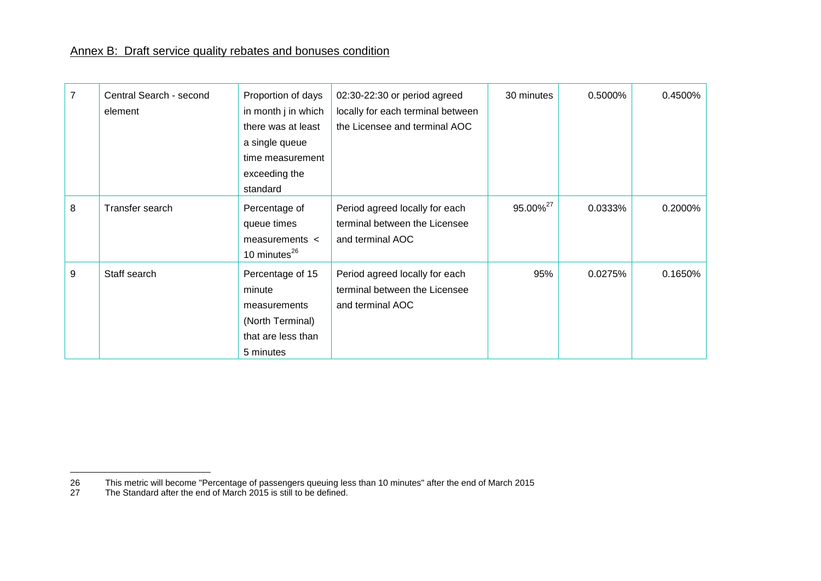| 7 | Central Search - second<br>element | Proportion of days<br>in month j in which<br>there was at least<br>a single queue<br>time measurement<br>exceeding the<br>standard | $02:30-22:30$ or period agreed<br>locally for each terminal between<br>the Licensee and terminal AOC | 30 minutes           | 0.5000% | 0.4500% |
|---|------------------------------------|------------------------------------------------------------------------------------------------------------------------------------|------------------------------------------------------------------------------------------------------|----------------------|---------|---------|
| 8 | Transfer search                    | Percentage of<br>queue times<br>measurements $\lt$<br>10 minutes <sup>26</sup>                                                     | Period agreed locally for each<br>terminal between the Licensee<br>and terminal AOC                  | 95.00% <sup>27</sup> | 0.0333% | 0.2000% |
| 9 | Staff search                       | Percentage of 15<br>minute<br>measurements<br>(North Terminal)<br>that are less than<br>5 minutes                                  | Period agreed locally for each<br>terminal between the Licensee<br>and terminal AOC                  | 95%                  | 0.0275% | 0.1650% |

27 The Standard after the end of March 2015 is still to be defined.

 $\frac{26}{27}$ 26 This metric will become "Percentage of passengers queuing less than 10 minutes" after the end of March 2015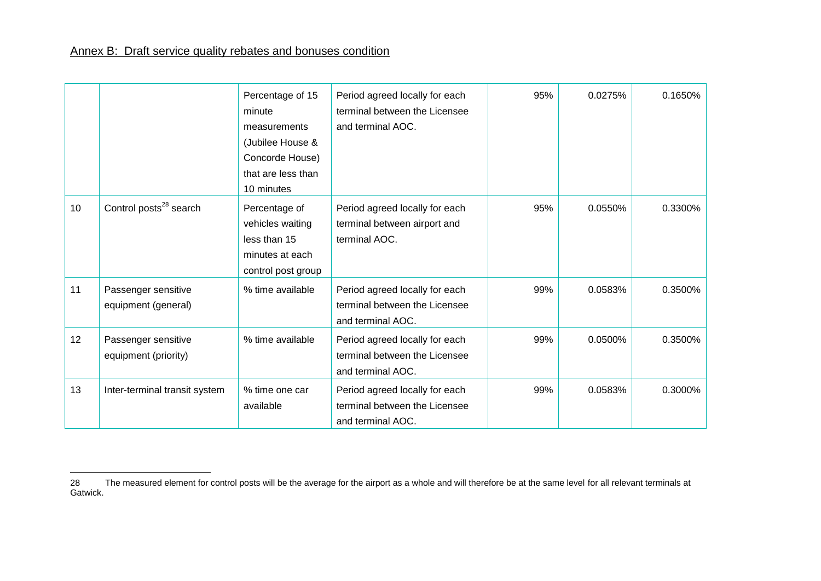$\overline{a}$ 

|                 |                                             | Percentage of 15<br>minute<br>measurements<br>(Jubilee House &<br>Concorde House)<br>that are less than<br>10 minutes | Period agreed locally for each<br>terminal between the Licensee<br>and terminal AOC. | 95% | 0.0275% | 0.1650% |
|-----------------|---------------------------------------------|-----------------------------------------------------------------------------------------------------------------------|--------------------------------------------------------------------------------------|-----|---------|---------|
| 10              | Control posts <sup>28</sup> search          | Percentage of<br>vehicles waiting<br>less than 15<br>minutes at each<br>control post group                            | Period agreed locally for each<br>terminal between airport and<br>terminal AOC.      | 95% | 0.0550% | 0.3300% |
| 11              | Passenger sensitive<br>equipment (general)  | % time available                                                                                                      | Period agreed locally for each<br>terminal between the Licensee<br>and terminal AOC. | 99% | 0.0583% | 0.3500% |
| 12 <sup>2</sup> | Passenger sensitive<br>equipment (priority) | % time available                                                                                                      | Period agreed locally for each<br>terminal between the Licensee<br>and terminal AOC. | 99% | 0.0500% | 0.3500% |
| 13              | Inter-terminal transit system               | % time one car<br>available                                                                                           | Period agreed locally for each<br>terminal between the Licensee<br>and terminal AOC. | 99% | 0.0583% | 0.3000% |

The measured element for control posts will be the average for the airport as a whole and will therefore be at the same level for all relevant terminals at Gatwick.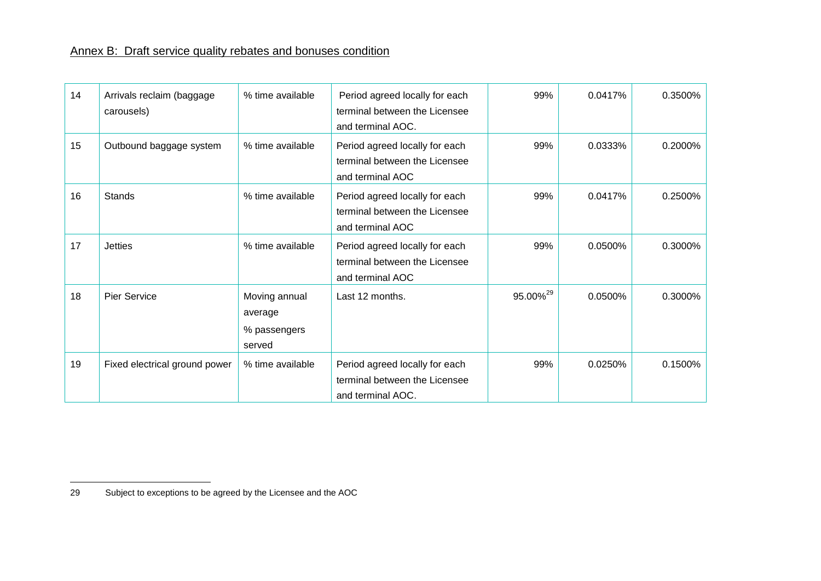| 14 | Arrivals reclaim (baggage<br>carousels) | % time available                                   | Period agreed locally for each<br>terminal between the Licensee<br>and terminal AOC. | 99%                  | 0.0417% | 0.3500% |
|----|-----------------------------------------|----------------------------------------------------|--------------------------------------------------------------------------------------|----------------------|---------|---------|
| 15 | Outbound baggage system                 | % time available                                   | Period agreed locally for each<br>terminal between the Licensee<br>and terminal AOC  | 99%                  | 0.0333% | 0.2000% |
| 16 | <b>Stands</b>                           | % time available                                   | Period agreed locally for each<br>terminal between the Licensee<br>and terminal AOC  | 99%                  | 0.0417% | 0.2500% |
| 17 | <b>Jetties</b>                          | % time available                                   | Period agreed locally for each<br>terminal between the Licensee<br>and terminal AOC  | 99%                  | 0.0500% | 0.3000% |
| 18 | Pier Service                            | Moving annual<br>average<br>% passengers<br>served | Last 12 months.                                                                      | 95.00% <sup>29</sup> | 0.0500% | 0.3000% |
| 19 | Fixed electrical ground power           | % time available                                   | Period agreed locally for each<br>terminal between the Licensee<br>and terminal AOC. | 99%                  | 0.0250% | 0.1500% |

<sup>29</sup> Subject to exceptions to be agreed by the Licensee and the AOC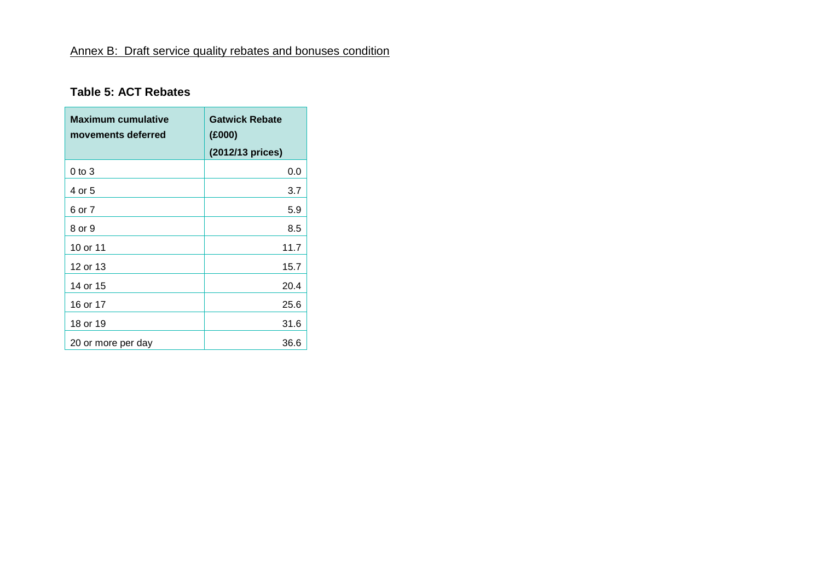# **Table 5: ACT Rebates**

<span id="page-46-0"></span>

| <b>Maximum cumulative</b><br>movements deferred | <b>Gatwick Rebate</b><br>(E000)<br>(2012/13 prices) |
|-------------------------------------------------|-----------------------------------------------------|
| $0$ to $3$                                      | 0.0                                                 |
| 4 or 5                                          | 3.7                                                 |
| 6 or 7                                          | 5.9                                                 |
| 8 or 9                                          | 8.5                                                 |
| 10 or 11                                        | 11.7                                                |
| 12 or 13                                        | 15.7                                                |
| 14 or 15                                        | 20.4                                                |
| 16 or 17                                        | 25.6                                                |
| 18 or 19                                        | 31.6                                                |
| 20 or more per day                              | 36.6                                                |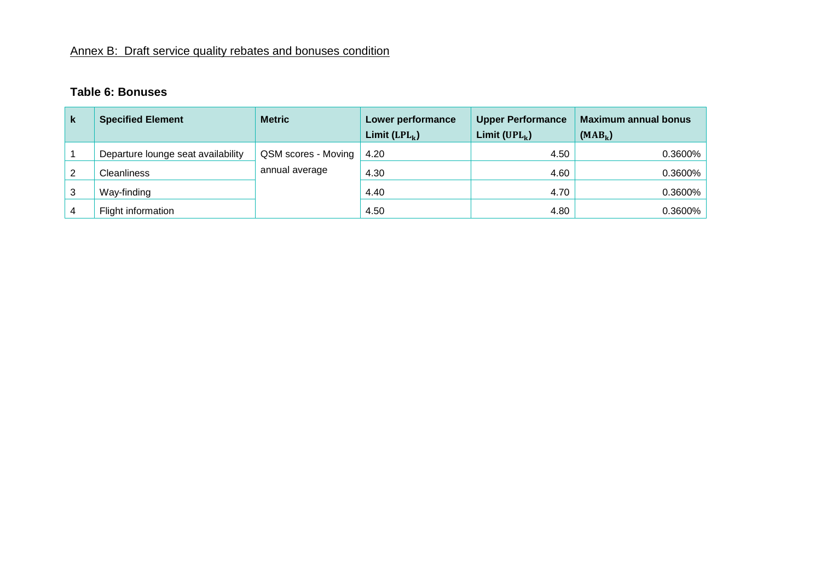# **Table 6: Bonuses**

<span id="page-47-0"></span>

| k | <b>Specified Element</b>           | <b>Metric</b>       | Lower performance<br>Limit $(LPL_k)$ | <b>Upper Performance</b><br>Limit ( $UPL_k$ ) | <b>Maximum annual bonus</b><br>$(MAB_k)$ |
|---|------------------------------------|---------------------|--------------------------------------|-----------------------------------------------|------------------------------------------|
|   | Departure lounge seat availability | QSM scores - Moving | 4.20                                 | 4.50                                          | 0.3600%                                  |
|   | <b>Cleanliness</b>                 | annual average      | 4.30                                 | 4.60                                          | 0.3600%                                  |
| 3 | Way-finding                        |                     | 4.40                                 | 4.70                                          | 0.3600%                                  |
| 4 | Flight information                 |                     | 4.50                                 | 4.80                                          | 0.3600%                                  |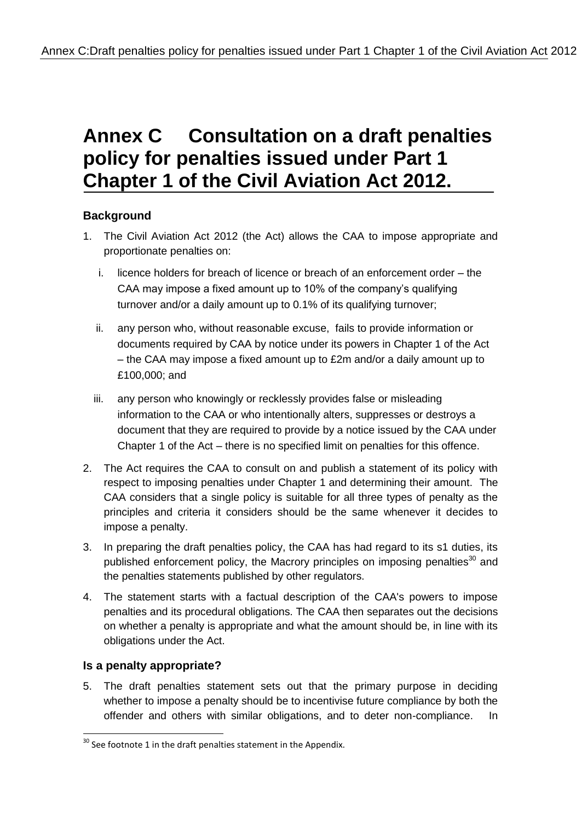# **Annex C Consultation on a draft penalties policy for penalties issued under Part 1 Chapter 1 of the Civil Aviation Act 2012.**

# **Background**

- 1. The Civil Aviation Act 2012 (the Act) allows the CAA to impose appropriate and proportionate penalties on:
	- i. licence holders for breach of licence or breach of an enforcement order the CAA may impose a fixed amount up to 10% of the company's qualifying turnover and/or a daily amount up to 0.1% of its qualifying turnover;
	- ii. any person who, without reasonable excuse, fails to provide information or documents required by CAA by notice under its powers in Chapter 1 of the Act – the CAA may impose a fixed amount up to £2m and/or a daily amount up to £100,000; and
	- iii. any person who knowingly or recklessly provides false or misleading information to the CAA or who intentionally alters, suppresses or destroys a document that they are required to provide by a notice issued by the CAA under Chapter 1 of the Act – there is no specified limit on penalties for this offence.
- 2. The Act requires the CAA to consult on and publish a statement of its policy with respect to imposing penalties under Chapter 1 and determining their amount. The CAA considers that a single policy is suitable for all three types of penalty as the principles and criteria it considers should be the same whenever it decides to impose a penalty.
- 3. In preparing the draft penalties policy, the CAA has had regard to its s1 duties, its published enforcement policy, the Macrory principles on imposing penalties<sup>30</sup> and the penalties statements published by other regulators.
- 4. The statement starts with a factual description of the CAA's powers to impose penalties and its procedural obligations. The CAA then separates out the decisions on whether a penalty is appropriate and what the amount should be, in line with its obligations under the Act.

# **Is a penalty appropriate?**

1

5. The draft penalties statement sets out that the primary purpose in deciding whether to impose a penalty should be to incentivise future compliance by both the offender and others with similar obligations, and to deter non-compliance. In

 $30$  See footnote 1 in the draft penalties statement in the Appendix.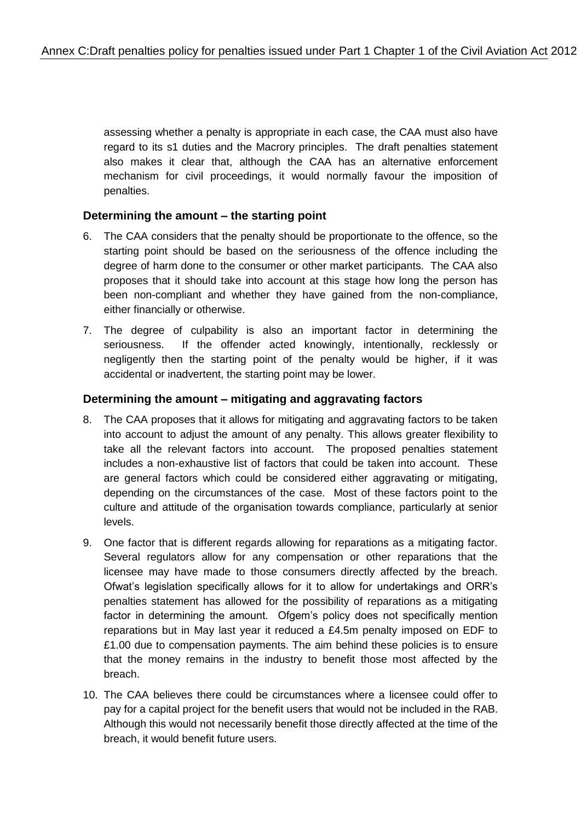assessing whether a penalty is appropriate in each case, the CAA must also have regard to its s1 duties and the Macrory principles. The draft penalties statement also makes it clear that, although the CAA has an alternative enforcement mechanism for civil proceedings, it would normally favour the imposition of penalties.

### **Determining the amount – the starting point**

- 6. The CAA considers that the penalty should be proportionate to the offence, so the starting point should be based on the seriousness of the offence including the degree of harm done to the consumer or other market participants. The CAA also proposes that it should take into account at this stage how long the person has been non-compliant and whether they have gained from the non-compliance, either financially or otherwise.
- 7. The degree of culpability is also an important factor in determining the seriousness. If the offender acted knowingly, intentionally, recklessly or negligently then the starting point of the penalty would be higher, if it was accidental or inadvertent, the starting point may be lower.

#### **Determining the amount – mitigating and aggravating factors**

- 8. The CAA proposes that it allows for mitigating and aggravating factors to be taken into account to adjust the amount of any penalty. This allows greater flexibility to take all the relevant factors into account. The proposed penalties statement includes a non-exhaustive list of factors that could be taken into account. These are general factors which could be considered either aggravating or mitigating, depending on the circumstances of the case. Most of these factors point to the culture and attitude of the organisation towards compliance, particularly at senior levels.
- 9. One factor that is different regards allowing for reparations as a mitigating factor. Several regulators allow for any compensation or other reparations that the licensee may have made to those consumers directly affected by the breach. Ofwat's legislation specifically allows for it to allow for undertakings and ORR's penalties statement has allowed for the possibility of reparations as a mitigating factor in determining the amount. Ofgem's policy does not specifically mention reparations but in May last year it reduced a £4.5m penalty imposed on EDF to £1.00 due to compensation payments. The aim behind these policies is to ensure that the money remains in the industry to benefit those most affected by the breach.
- 10. The CAA believes there could be circumstances where a licensee could offer to pay for a capital project for the benefit users that would not be included in the RAB. Although this would not necessarily benefit those directly affected at the time of the breach, it would benefit future users.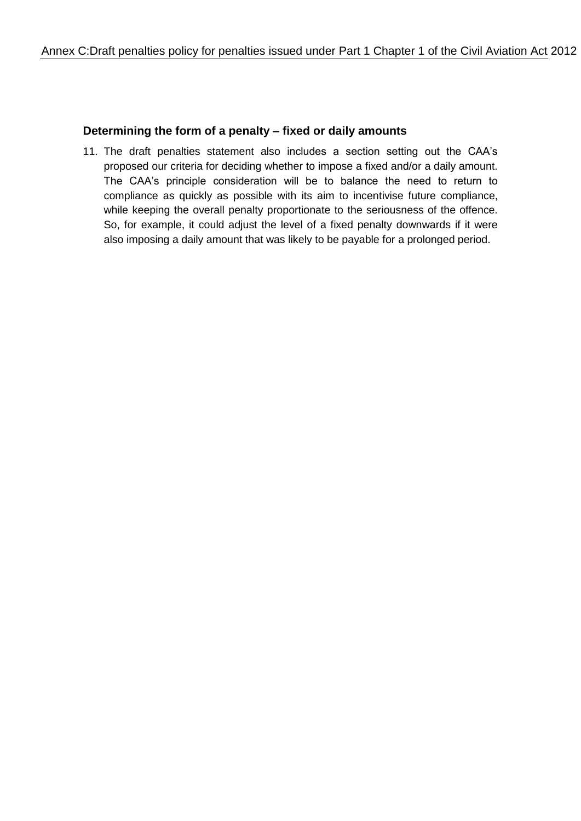#### **Determining the form of a penalty – fixed or daily amounts**

11. The draft penalties statement also includes a section setting out the CAA's proposed our criteria for deciding whether to impose a fixed and/or a daily amount. The CAA's principle consideration will be to balance the need to return to compliance as quickly as possible with its aim to incentivise future compliance, while keeping the overall penalty proportionate to the seriousness of the offence. So, for example, it could adjust the level of a fixed penalty downwards if it were also imposing a daily amount that was likely to be payable for a prolonged period.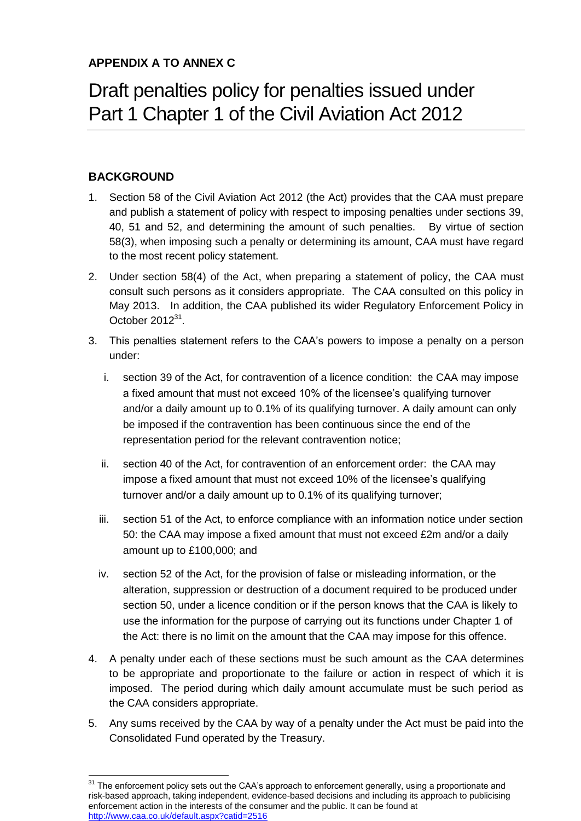# Draft penalties policy for penalties issued under Part 1 Chapter 1 of the Civil Aviation Act 2012

# **BACKGROUND**

- 1. Section 58 of the Civil Aviation Act 2012 (the Act) provides that the CAA must prepare and publish a statement of policy with respect to imposing penalties under sections 39, 40, 51 and 52, and determining the amount of such penalties. By virtue of section 58(3), when imposing such a penalty or determining its amount, CAA must have regard to the most recent policy statement.
- 2. Under section 58(4) of the Act, when preparing a statement of policy, the CAA must consult such persons as it considers appropriate. The CAA consulted on this policy in May 2013. In addition, the CAA published its wider Regulatory Enforcement Policy in October  $2012^{31}$ .
- 3. This penalties statement refers to the CAA's powers to impose a penalty on a person under:
	- i. section 39 of the Act, for contravention of a licence condition: the CAA may impose a fixed amount that must not exceed 0% of the licensee's qualifying turnover and/or a daily amount up to 0.1% of its qualifying turnover. A daily amount can only be imposed if the contravention has been continuous since the end of the representation period for the relevant contravention notice;
	- ii. section 40 of the Act, for contravention of an enforcement order: the CAA may impose a fixed amount that must not exceed 10% of the licensee's qualifying turnover and/or a daily amount up to 0.1% of its qualifying turnover;
	- iii. section 51 of the Act, to enforce compliance with an information notice under section 50: the CAA may impose a fixed amount that must not exceed £2m and/or a daily amount up to £100,000; and
	- iv. section 52 of the Act, for the provision of false or misleading information, or the alteration, suppression or destruction of a document required to be produced under section 50, under a licence condition or if the person knows that the CAA is likely to use the information for the purpose of carrying out its functions under Chapter 1 of the Act: there is no limit on the amount that the CAA may impose for this offence.
- 4. A penalty under each of these sections must be such amount as the CAA determines to be appropriate and proportionate to the failure or action in respect of which it is imposed. The period during which daily amount accumulate must be such period as the CAA considers appropriate.
- 5. Any sums received by the CAA by way of a penalty under the Act must be paid into the Consolidated Fund operated by the Treasury.

<sup>1</sup>  $31$  The enforcement policy sets out the CAA's approach to enforcement generally, using a proportionate and risk-based approach, taking independent, evidence-based decisions and including its approach to publicising enforcement action in the interests of the consumer and the public. It can be found at <http://www.caa.co.uk/default.aspx?catid=2516>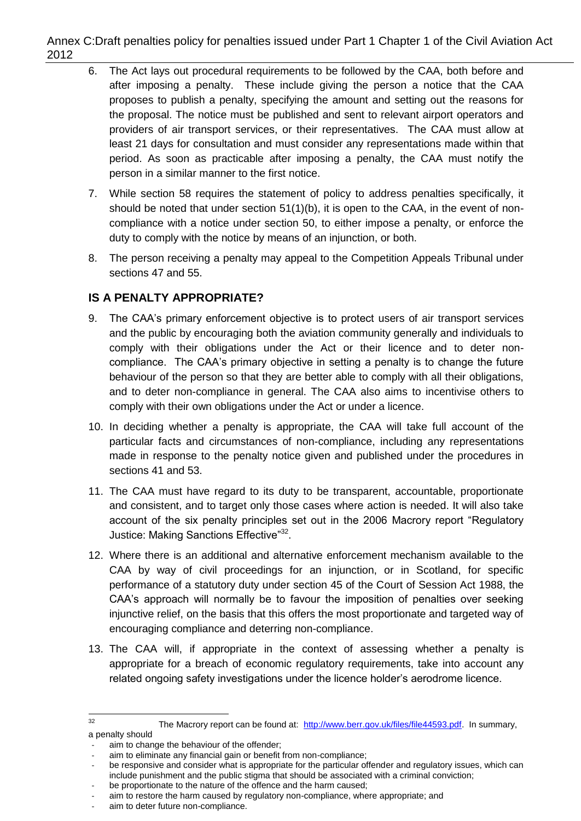Annex C:Draft penalties policy for penalties issued under Part 1 Chapter 1 of the Civil Aviation Act 2012

- 6. The Act lays out procedural requirements to be followed by the CAA, both before and after imposing a penalty. These include giving the person a notice that the CAA proposes to publish a penalty, specifying the amount and setting out the reasons for the proposal. The notice must be published and sent to relevant airport operators and providers of air transport services, or their representatives. The CAA must allow at least 21 days for consultation and must consider any representations made within that period. As soon as practicable after imposing a penalty, the CAA must notify the person in a similar manner to the first notice.
- 7. While section 58 requires the statement of policy to address penalties specifically, it should be noted that under section  $51(1)(b)$ , it is open to the CAA, in the event of noncompliance with a notice under section 50, to either impose a penalty, or enforce the duty to comply with the notice by means of an injunction, or both.
- 8. The person receiving a penalty may appeal to the Competition Appeals Tribunal under sections 47 and 55.

### **IS A PENALTY APPROPRIATE?**

- 9. The CAA's primary enforcement objective is to protect users of air transport services and the public by encouraging both the aviation community generally and individuals to comply with their obligations under the Act or their licence and to deter noncompliance. The CAA's primary objective in setting a penalty is to change the future behaviour of the person so that they are better able to comply with all their obligations, and to deter non-compliance in general. The CAA also aims to incentivise others to comply with their own obligations under the Act or under a licence.
- 10. In deciding whether a penalty is appropriate, the CAA will take full account of the particular facts and circumstances of non-compliance, including any representations made in response to the penalty notice given and published under the procedures in sections 41 and 53.
- 11. The CAA must have regard to its duty to be transparent, accountable, proportionate and consistent, and to target only those cases where action is needed. It will also take account of the six penalty principles set out in the 2006 Macrory report "Regulatory" Justice: Making Sanctions Effective"<sup>32</sup>.
- 12. Where there is an additional and alternative enforcement mechanism available to the CAA by way of civil proceedings for an injunction, or in Scotland, for specific performance of a statutory duty under section 45 of the Court of Session Act 1988, the CAA's approach will normally be to favour the imposition of penalties over seeking injunctive relief, on the basis that this offers the most proportionate and targeted way of encouraging compliance and deterring non-compliance.
- 13. The CAA will, if appropriate in the context of assessing whether a penalty is appropriate for a breach of economic regulatory requirements, take into account any related ongoing safety investigations under the licence holder's aerodrome licence.

 $32$ The Macrory report can be found at: [http://www.berr.gov.uk/files/file44593.pdf.](http://www.berr.gov.uk/files/file44593.pdf) In summary, a penalty should

aim to change the behaviour of the offender:

aim to eliminate any financial gain or benefit from non-compliance;

be responsive and consider what is appropriate for the particular offender and regulatory issues, which can include punishment and the public stigma that should be associated with a criminal conviction;

be proportionate to the nature of the offence and the harm caused:

aim to restore the harm caused by regulatory non-compliance, where appropriate; and

aim to deter future non-compliance.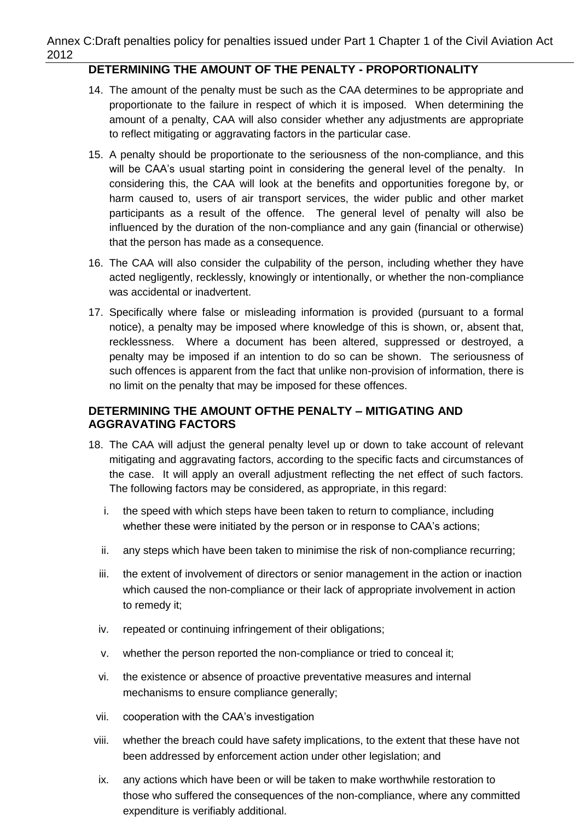#### Annex C:Draft penalties policy for penalties issued under Part 1 Chapter 1 of the Civil Aviation Act 2012

# **DETERMINING THE AMOUNT OF THE PENALTY - PROPORTIONALITY**

- 14. The amount of the penalty must be such as the CAA determines to be appropriate and proportionate to the failure in respect of which it is imposed. When determining the amount of a penalty, CAA will also consider whether any adjustments are appropriate to reflect mitigating or aggravating factors in the particular case.
- 15. A penalty should be proportionate to the seriousness of the non-compliance, and this will be CAA's usual starting point in considering the general level of the penalty. In considering this, the CAA will look at the benefits and opportunities foregone by, or harm caused to, users of air transport services, the wider public and other market participants as a result of the offence. The general level of penalty will also be influenced by the duration of the non-compliance and any gain (financial or otherwise) that the person has made as a consequence.
- 16. The CAA will also consider the culpability of the person, including whether they have acted negligently, recklessly, knowingly or intentionally, or whether the non-compliance was accidental or inadvertent.
- 17. Specifically where false or misleading information is provided (pursuant to a formal notice), a penalty may be imposed where knowledge of this is shown, or, absent that, recklessness. Where a document has been altered, suppressed or destroyed, a penalty may be imposed if an intention to do so can be shown. The seriousness of such offences is apparent from the fact that unlike non-provision of information, there is no limit on the penalty that may be imposed for these offences.

### **DETERMINING THE AMOUNT OFTHE PENALTY – MITIGATING AND AGGRAVATING FACTORS**

- 18. The CAA will adjust the general penalty level up or down to take account of relevant mitigating and aggravating factors, according to the specific facts and circumstances of the case. It will apply an overall adjustment reflecting the net effect of such factors. The following factors may be considered, as appropriate, in this regard:
	- i. the speed with which steps have been taken to return to compliance, including whether these were initiated by the person or in response to CAA's actions;
	- ii. any steps which have been taken to minimise the risk of non-compliance recurring;
	- iii. the extent of involvement of directors or senior management in the action or inaction which caused the non-compliance or their lack of appropriate involvement in action to remedy it;
	- iv. repeated or continuing infringement of their obligations;
	- v. whether the person reported the non-compliance or tried to conceal it;
	- vi. the existence or absence of proactive preventative measures and internal mechanisms to ensure compliance generally;
	- vii. cooperation with the CAA's investigation
- viii. whether the breach could have safety implications, to the extent that these have not been addressed by enforcement action under other legislation; and
- ix. any actions which have been or will be taken to make worthwhile restoration to those who suffered the consequences of the non-compliance, where any committed expenditure is verifiably additional.